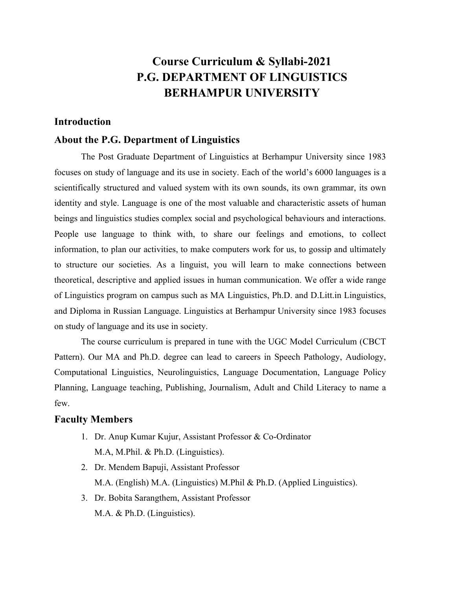# **Course Curriculum & Syllabi-2021 P.G. DEPARTMENT OF LINGUISTICS BERHAMPUR UNIVERSITY**

# **Introduction**

# **About the P.G. Department of Linguistics**

The Post Graduate Department of Linguistics at Berhampur University since 1983 focuses on study of language and its use in society. Each of the world's 6000 languages is a scientifically structured and valued system with its own sounds, its own grammar, its own identity and style. Language is one of the most valuable and characteristic assets of human beings and linguistics studies complex social and psychological behaviours and interactions. People use language to think with, to share our feelings and emotions, to collect information, to plan our activities, to make computers work for us, to gossip and ultimately to structure our societies. As a linguist, you will learn to make connections between theoretical, descriptive and applied issues in human communication. We offer a wide range of Linguistics program on campus such as MA Linguistics, Ph.D. and D.Litt.in Linguistics, and Diploma in Russian Language. Linguistics at Berhampur University since 1983 focuses on study of language and its use in society.

The course curriculum is prepared in tune with the UGC Model Curriculum (CBCT Pattern). Our MA and Ph.D. degree can lead to careers in Speech Pathology, Audiology, Computational Linguistics, Neurolinguistics, Language Documentation, Language Policy Planning, Language teaching, Publishing, Journalism, Adult and Child Literacy to name a few.

## **Faculty Members**

- 1. Dr. Anup Kumar Kujur, Assistant Professor & Co-Ordinator M.A, M.Phil. & Ph.D. (Linguistics).
- 2. Dr. Mendem Bapuji, Assistant Professor M.A. (English) M.A. (Linguistics) M.Phil & Ph.D. (Applied Linguistics).
- 3. Dr. Bobita Sarangthem, Assistant Professor M.A. & Ph.D. (Linguistics).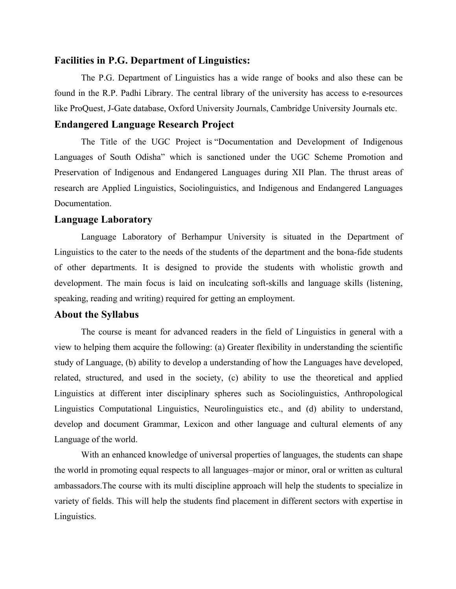# **Facilities in P.G. Department of Linguistics:**

The P.G. Department of Linguistics has a wide range of books and also these can be found in the R.P. Padhi Library. The central library of the university has access to e-resources like ProQuest, J-Gate database, Oxford University Journals, Cambridge University Journals etc.

# **Endangered Language Research Project**

The Title of the UGC Project is "Documentation and Development of Indigenous Languages of South Odisha" which is sanctioned under the UGC Scheme Promotion and Preservation of Indigenous and Endangered Languages during XII Plan. The thrust areas of research are Applied Linguistics, Sociolinguistics, and Indigenous and Endangered Languages Documentation.

## **Language Laboratory**

Language Laboratory of Berhampur University is situated in the Department of Linguistics to the cater to the needs of the students of the department and the bona-fide students of other departments. It is designed to provide the students with wholistic growth and development. The main focus is laid on inculcating soft-skills and language skills (listening, speaking, reading and writing) required for getting an employment.

# **About the Syllabus**

The course is meant for advanced readers in the field of Linguistics in general with a view to helping them acquire the following: (a) Greater flexibility in understanding the scientific study of Language, (b) ability to develop a understanding of how the Languages have developed, related, structured, and used in the society, (c) ability to use the theoretical and applied Linguistics at different inter disciplinary spheres such as Sociolinguistics, Anthropological Linguistics Computational Linguistics, Neurolinguistics etc., and (d) ability to understand, develop and document Grammar, Lexicon and other language and cultural elements of any Language of the world.

With an enhanced knowledge of universal properties of languages, the students can shape the world in promoting equal respects to all languages–major or minor, oral or written as cultural ambassadors.The course with its multi discipline approach will help the students to specialize in variety of fields. This will help the students find placement in different sectors with expertise in Linguistics.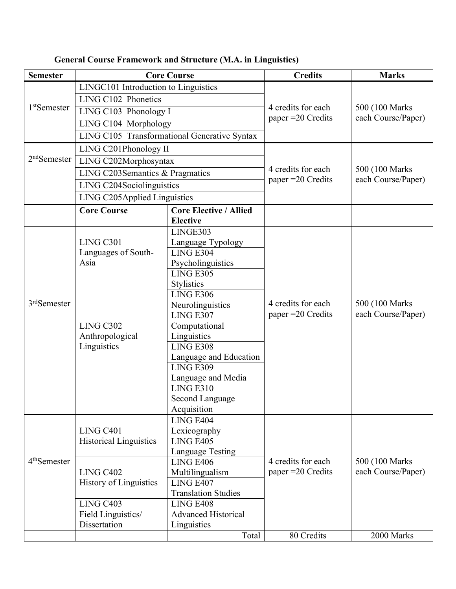| <b>Semester</b>          | <b>Core Course</b>                           |                                                  | <b>Credits</b>                            | <b>Marks</b>                          |
|--------------------------|----------------------------------------------|--------------------------------------------------|-------------------------------------------|---------------------------------------|
| 1 <sup>st</sup> Semester | LINGC101 Introduction to Linguistics         |                                                  | 4 credits for each                        | 500 (100 Marks)                       |
|                          | LING C102 Phonetics                          |                                                  |                                           |                                       |
|                          | LING C103 Phonology I                        |                                                  |                                           |                                       |
|                          | LING C104 Morphology                         |                                                  | paper = 20 Credits                        | each Course/Paper)                    |
|                          | LING C105 Transformational Generative Syntax |                                                  |                                           |                                       |
| $2nd$ Semester           | LING C201Phonology II                        |                                                  |                                           |                                       |
|                          | LING C202Morphosyntax                        |                                                  |                                           |                                       |
|                          | LING C203Semantics & Pragmatics              |                                                  | 4 credits for each<br>paper $=20$ Credits | 500 (100 Marks)<br>each Course/Paper) |
|                          | LING C204Sociolinguistics                    |                                                  |                                           |                                       |
|                          | LING C205Applied Linguistics                 |                                                  |                                           |                                       |
|                          | <b>Core Course</b>                           | <b>Core Elective / Allied</b><br><b>Elective</b> |                                           |                                       |
| 3rdSemester              |                                              | LINGE303                                         |                                           |                                       |
|                          | LING C301                                    | Language Typology                                |                                           |                                       |
|                          | Languages of South-                          | <b>LING E304</b>                                 |                                           |                                       |
|                          | Asia                                         | Psycholinguistics                                |                                           |                                       |
|                          |                                              | <b>LING E305</b>                                 |                                           |                                       |
|                          |                                              | <b>Stylistics</b>                                |                                           |                                       |
|                          |                                              | <b>LING E306</b>                                 |                                           |                                       |
|                          |                                              | Neurolinguistics                                 | 4 credits for each                        | 500 (100 Marks)                       |
|                          | LING C302<br>Anthropological<br>Linguistics  | <b>LING E307</b>                                 | paper = 20 Credits                        | each Course/Paper)                    |
|                          |                                              | Computational                                    |                                           |                                       |
|                          |                                              | Linguistics                                      |                                           |                                       |
|                          |                                              | LING E308                                        |                                           |                                       |
|                          |                                              | Language and Education                           |                                           |                                       |
|                          |                                              | <b>LING E309</b>                                 |                                           |                                       |
|                          |                                              | Language and Media<br><b>LING E310</b>           |                                           |                                       |
|                          |                                              | Second Language                                  |                                           |                                       |
|                          |                                              | Acquisition                                      |                                           |                                       |
|                          |                                              | LING E404                                        |                                           |                                       |
| 4 <sup>th</sup> Semester | LING C401                                    | Lexicography                                     |                                           |                                       |
|                          | <b>Historical Linguistics</b>                | <b>LING E405</b>                                 |                                           |                                       |
|                          |                                              | Language Testing                                 |                                           |                                       |
|                          |                                              | <b>LING E406</b>                                 | 4 credits for each                        | 500 (100 Marks)                       |
|                          | LING C402                                    | Multilingualism                                  | paper $=20$ Credits                       | each Course/Paper)                    |
|                          | <b>History of Linguistics</b>                | LING E407                                        |                                           |                                       |
|                          |                                              | <b>Translation Studies</b>                       |                                           |                                       |
|                          | LING C403                                    | LING E408                                        |                                           |                                       |
|                          | Field Linguistics/                           | <b>Advanced Historical</b>                       |                                           |                                       |
|                          | Dissertation                                 | Linguistics                                      |                                           |                                       |
|                          |                                              | Total                                            | 80 Credits                                | 2000 Marks                            |

**General Course Framework and Structure (M.A. in Linguistics)**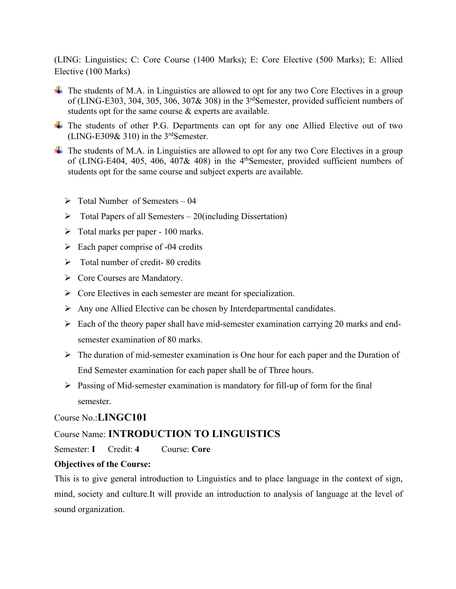(LING: Linguistics; C: Core Course (1400 Marks); E: Core Elective (500 Marks); E: Allied Elective (100 Marks)

- $\Box$  The students of M.A. in Linguistics are allowed to opt for any two Core Electives in a group of (LING-E303, 304, 305, 306, 307& 308) in the 3rdSemester, provided sufficient numbers of students opt for the same course & experts are available.
- The students of other P.G. Departments can opt for any one Allied Elective out of two (LING-E309 $\&$  310) in the 3<sup>rd</sup>Semester.
- $\Box$  The students of M.A. in Linguistics are allowed to opt for any two Core Electives in a group of (LING-E404, 405, 406, 407& 408) in the 4thSemester, provided sufficient numbers of students opt for the same course and subject experts are available.
	- $\triangleright$  Total Number of Semesters 04
	- $\triangleright$  Total Papers of all Semesters 20(including Dissertation)
	- $\triangleright$  Total marks per paper 100 marks.
	- $\triangleright$  Each paper comprise of -04 credits
	- $\triangleright$  Total number of credit-80 credits
	- $\triangleright$  Core Courses are Mandatory.
	- $\triangleright$  Core Electives in each semester are meant for specialization.
	- $\triangleright$  Any one Allied Elective can be chosen by Interdepartmental candidates.
	- $\triangleright$  Each of the theory paper shall have mid-semester examination carrying 20 marks and endsemester examination of 80 marks.
	- $\triangleright$  The duration of mid-semester examination is One hour for each paper and the Duration of End Semester examination for each paper shall be of Three hours.
	- $\triangleright$  Passing of Mid-semester examination is mandatory for fill-up of form for the final semester.

# Course No.:**LINGC101**

# Course Name: **INTRODUCTION TO LINGUISTICS**

Semester: **I** Credit: **4** Course: **Core**

# **Objectives of the Course:**

This is to give general introduction to Linguistics and to place language in the context of sign, mind, society and culture.It will provide an introduction to analysis of language at the level of sound organization.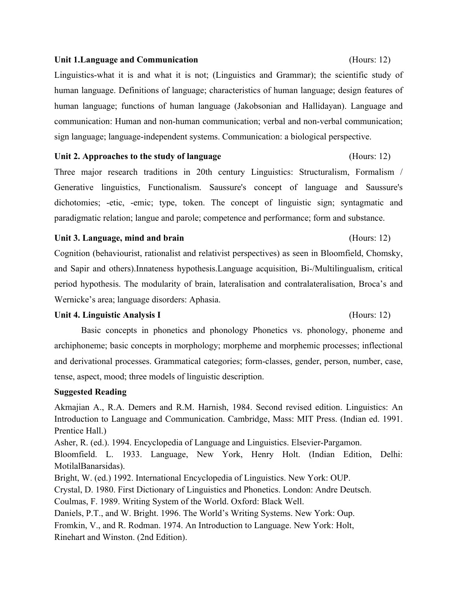## **Unit 1.Language and Communication** (Hours: 12)

Linguistics-what it is and what it is not; (Linguistics and Grammar); the scientific study of human language. Definitions of language; characteristics of human language; design features of human language; functions of human language (Jakobsonian and Hallidayan). Language and communication: Human and non-human communication; verbal and non-verbal communication; sign language; language-independent systems. Communication: a biological perspective.

## **Unit 2. Approaches to the study of language** (Hours: 12)

Three major research traditions in 20th century Linguistics: Structuralism, Formalism / Generative linguistics, Functionalism. Saussure's concept of language and Saussure's dichotomies; -etic, -emic; type, token. The concept of linguistic sign; syntagmatic and paradigmatic relation; langue and parole; competence and performance; form and substance.

## Unit 3. Language, mind and brain

Cognition (behaviourist, rationalist and relativist perspectives) as seen in Bloomfield, Chomsky, and Sapir and others).Innateness hypothesis.Language acquisition, Bi-/Multilingualism, critical period hypothesis. The modularity of brain, lateralisation and contralateralisation, Broca's and Wernicke's area; language disorders: Aphasia.

# Unit 4. Linguistic Analysis I (Hours: 12)

# Basic concepts in phonetics and phonology Phonetics vs. phonology, phoneme and archiphoneme; basic concepts in morphology; morpheme and morphemic processes; inflectional and derivational processes. Grammatical categories; form-classes, gender, person, number, case, tense, aspect, mood; three models of linguistic description.

# **Suggested Reading**

Akmajian A., R.A. Demers and R.M. Harnish, 1984. Second revised edition. Linguistics: An Introduction to Language and Communication. Cambridge, Mass: MIT Press. (Indian ed. 1991. Prentice Hall.)

Asher, R. (ed.). 1994. Encyclopedia of Language and Linguistics. Elsevier-Pargamon.

Bloomfield. L. 1933. Language, New York, Henry Holt. (Indian Edition, Delhi: MotilalBanarsidas).

Bright, W. (ed.) 1992. International Encyclopedia of Linguistics. New York: OUP.

Crystal, D. 1980. First Dictionary of Linguistics and Phonetics. London: Andre Deutsch.

Coulmas, F. 1989. Writing System of the World. Oxford: Black Well.

Daniels, P.T., and W. Bright. 1996. The World's Writing Systems. New York: Oup.

Fromkin, V., and R. Rodman. 1974. An Introduction to Language. New York: Holt, Rinehart and Winston. (2nd Edition).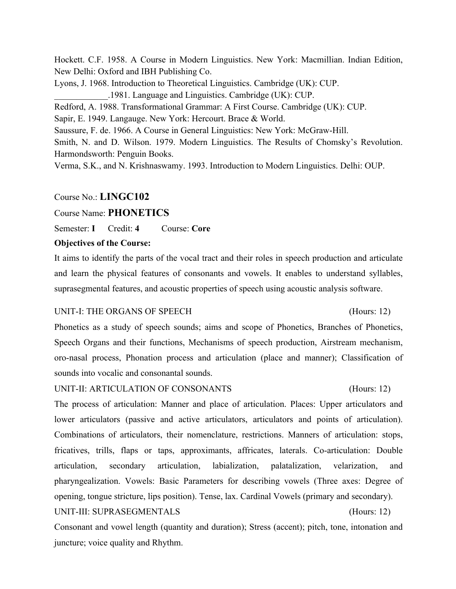Hockett. C.F. 1958. A Course in Modern Linguistics. New York: Macmillian. Indian Edition, New Delhi: Oxford and IBH Publishing Co.

Lyons, J. 1968. Introduction to Theoretical Linguistics. Cambridge (UK): CUP.

\_\_\_\_\_\_\_\_\_\_\_\_.1981. Language and Linguistics. Cambridge (UK): CUP.

Redford, A. 1988. Transformational Grammar: A First Course. Cambridge (UK): CUP.

Sapir, E. 1949. Langauge. New York: Hercourt. Brace & World.

Saussure, F. de. 1966. A Course in General Linguistics: New York: McGraw-Hill.

Smith, N. and D. Wilson. 1979. Modern Linguistics. The Results of Chomsky's Revolution. Harmondsworth: Penguin Books.

Verma, S.K., and N. Krishnaswamy. 1993. Introduction to Modern Linguistics. Delhi: OUP.

# Course No.: **LINGC102**

Course Name: **PHONETICS**

Semester: **I** Credit: **4** Course: **Core**

# **Objectives of the Course:**

It aims to identify the parts of the vocal tract and their roles in speech production and articulate and learn the physical features of consonants and vowels. It enables to understand syllables, suprasegmental features, and acoustic properties of speech using acoustic analysis software.

# UNIT-I: THE ORGANS OF SPEECH (Hours: 12)

Phonetics as a study of speech sounds; aims and scope of Phonetics, Branches of Phonetics, Speech Organs and their functions, Mechanisms of speech production, Airstream mechanism, oro-nasal process, Phonation process and articulation (place and manner); Classification of sounds into vocalic and consonantal sounds.

# UNIT-II: ARTICULATION OF CONSONANTS (Hours: 12)

The process of articulation: Manner and place of articulation. Places: Upper articulators and lower articulators (passive and active articulators, articulators and points of articulation). Combinations of articulators, their nomenclature, restrictions. Manners of articulation: stops, fricatives, trills, flaps or taps, approximants, affricates, laterals. Co-articulation: Double articulation, secondary articulation, labialization, palatalization, velarization, and pharyngealization. Vowels: Basic Parameters for describing vowels (Three axes: Degree of opening, tongue stricture, lips position). Tense, lax. Cardinal Vowels (primary and secondary). UNIT-III: SUPRASEGMENTALS (Hours: 12)

Consonant and vowel length (quantity and duration); Stress (accent); pitch, tone, intonation and juncture; voice quality and Rhythm.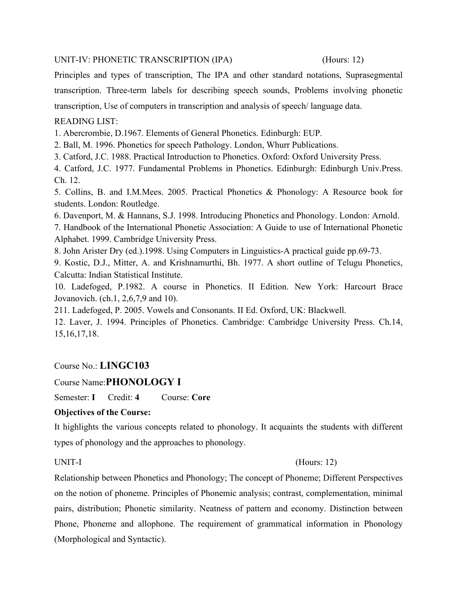# UNIT-IV: PHONETIC TRANSCRIPTION (IPA) (Hours: 12)

Principles and types of transcription, The IPA and other standard notations, Suprasegmental transcription. Three-term labels for describing speech sounds, Problems involving phonetic transcription, Use of computers in transcription and analysis of speech/ language data.

# READING LIST:

1. Abercrombie, D.1967. Elements of General Phonetics. Edinburgh: EUP.

2. Ball, M. 1996. Phonetics for speech Pathology. London, Whurr Publications.

3. Catford, J.C. 1988. Practical Introduction to Phonetics. Oxford: Oxford University Press.

4. Catford, J.C. 1977. Fundamental Problems in Phonetics. Edinburgh: Edinburgh Univ.Press. Ch. 12.

5. Collins, B. and I.M.Mees. 2005. Practical Phonetics & Phonology: A Resource book for students. London: Routledge.

6. Davenport, M. & Hannans, S.J. 1998. Introducing Phonetics and Phonology. London: Arnold.

7. Handbook of the International Phonetic Association: A Guide to use of International Phonetic Alphabet. 1999. Cambridge University Press.

8. John Arister Dry (ed.).1998. Using Computers in Linguistics-A practical guide pp.69-73.

9. Kostic, D.J., Mitter, A. and Krishnamurthi, Bh. 1977. A short outline of Telugu Phonetics, Calcutta: Indian Statistical Institute.

10. Ladefoged, P.1982. A course in Phonetics. II Edition. New York: Harcourt Brace Jovanovich. (ch.1, 2,6,7,9 and 10).

211. Ladefoged, P. 2005. Vowels and Consonants. II Ed. Oxford, UK: Blackwell.

12. Laver, J. 1994. Principles of Phonetics. Cambridge: Cambridge University Press. Ch.14, 15,16,17,18.

# Course No.: **LINGC103**

# Course Name:**PHONOLOGY I**

Semester: **I** Credit: **4** Course: **Core**

# **Objectives of the Course:**

It highlights the various concepts related to phonology. It acquaints the students with different types of phonology and the approaches to phonology.

# UNIT-I (Hours: 12)

Relationship between Phonetics and Phonology; The concept of Phoneme; Different Perspectives on the notion of phoneme. Principles of Phonemic analysis; contrast, complementation, minimal pairs, distribution; Phonetic similarity. Neatness of pattern and economy. Distinction between Phone, Phoneme and allophone. The requirement of grammatical information in Phonology (Morphological and Syntactic).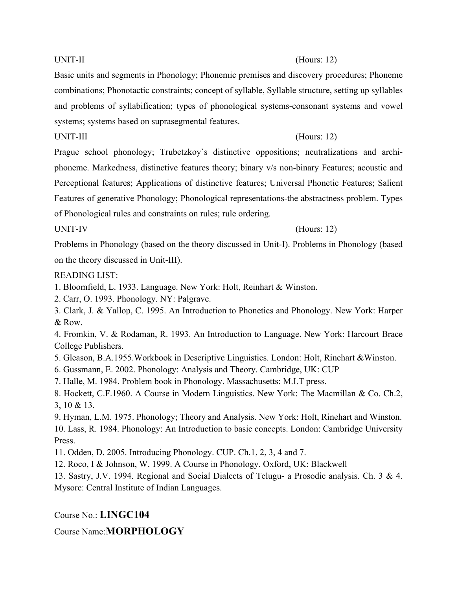## UNIT-II (Hours: 12)

Basic units and segments in Phonology; Phonemic premises and discovery procedures; Phoneme combinations; Phonotactic constraints; concept of syllable, Syllable structure, setting up syllables and problems of syllabification; types of phonological systems-consonant systems and vowel systems; systems based on suprasegmental features.

# UNIT-III (Hours: 12)

Prague school phonology; Trubetzkoy`s distinctive oppositions; neutralizations and archiphoneme. Markedness, distinctive features theory; binary v/s non-binary Features; acoustic and Perceptional features; Applications of distinctive features; Universal Phonetic Features; Salient Features of generative Phonology; Phonological representations-the abstractness problem. Types of Phonological rules and constraints on rules; rule ordering.

# UNIT-IV (Hours: 12)

Problems in Phonology (based on the theory discussed in Unit-I). Problems in Phonology (based on the theory discussed in Unit-III).

# READING LIST:

- 1. Bloomfield, L. 1933. Language. New York: Holt, Reinhart & Winston.
- 2. Carr, O. 1993. Phonology. NY: Palgrave.
- 3. Clark, J. & Yallop, C. 1995. An Introduction to Phonetics and Phonology. New York: Harper & Row.

4. Fromkin, V. & Rodaman, R. 1993. An Introduction to Language. New York: Harcourt Brace College Publishers.

- 5. Gleason, B.A.1955.Workbook in Descriptive Linguistics. London: Holt, Rinehart &Winston.
- 6. Gussmann, E. 2002. Phonology: Analysis and Theory. Cambridge, UK: CUP
- 7. Halle, M. 1984. Problem book in Phonology. Massachusetts: M.I.T press.
- 8. Hockett, C.F.1960. A Course in Modern Linguistics. New York: The Macmillan & Co. Ch.2, 3, 10 & 13.
- 9. Hyman, L.M. 1975. Phonology; Theory and Analysis. New York: Holt, Rinehart and Winston. 10. Lass, R. 1984. Phonology: An Introduction to basic concepts. London: Cambridge University Press.
- 11. Odden, D. 2005. Introducing Phonology. CUP. Ch.1, 2, 3, 4 and 7.
- 12. Roco, I & Johnson, W. 1999. A Course in Phonology. Oxford, UK: Blackwell
- 13. Sastry, J.V. 1994. Regional and Social Dialects of Telugu- a Prosodic analysis. Ch. 3 & 4. Mysore: Central Institute of Indian Languages.

Course No.: **LINGC104**

# Course Name:**MORPHOLOGY**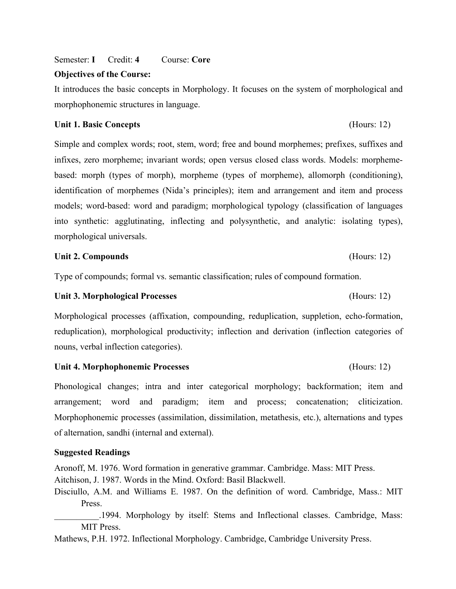Semester: **I** Credit: **4** Course: **Core**

### **Objectives of the Course:**

It introduces the basic concepts in Morphology. It focuses on the system of morphological and morphophonemic structures in language.

## **Unit 1. Basic Concepts** (Hours: 12)

Simple and complex words; root, stem, word; free and bound morphemes; prefixes, suffixes and infixes, zero morpheme; invariant words; open versus closed class words. Models: morphemebased: morph (types of morph), morpheme (types of morpheme), allomorph (conditioning), identification of morphemes (Nida's principles); item and arrangement and item and process models; word-based: word and paradigm; morphological typology (classification of languages into synthetic: agglutinating, inflecting and polysynthetic, and analytic: isolating types), morphological universals.

## Unit 2. Compounds (Hours: 12)

Type of compounds; formal vs. semantic classification; rules of compound formation.

## **Unit 3. Morphological Processes** (Hours: 12)

Morphological processes (affixation, compounding, reduplication, suppletion, echo-formation, reduplication), morphological productivity; inflection and derivation (inflection categories of nouns, verbal inflection categories).

### **Unit 4. Morphophonemic Processes** (Hours: 12)

Phonological changes; intra and inter categorical morphology; backformation; item and arrangement; word and paradigm; item and process; concatenation; cliticization. Morphophonemic processes (assimilation, dissimilation, metathesis, etc.), alternations and types of alternation, sandhi (internal and external).

## **Suggested Readings**

Aronoff, M. 1976. Word formation in generative grammar. Cambridge. Mass: MIT Press.

Aitchison, J. 1987. Words in the Mind. Oxford: Basil Blackwell.

Disciullo, A.M. and Williams E. 1987. On the definition of word. Cambridge, Mass.: MIT Press.

.1994. Morphology by itself: Stems and Inflectional classes. Cambridge, Mass: MIT Press.

Mathews, P.H. 1972. Inflectional Morphology. Cambridge, Cambridge University Press.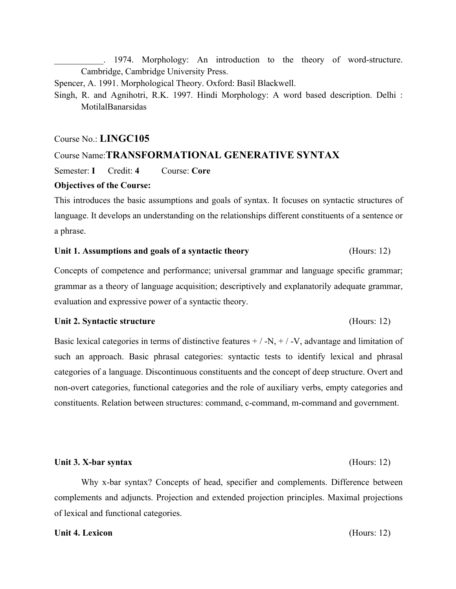1974. Morphology: An introduction to the theory of word-structure. Cambridge, Cambridge University Press.

Spencer, A. 1991. Morphological Theory. Oxford: Basil Blackwell.

Singh, R. and Agnihotri, R.K. 1997. Hindi Morphology: A word based description. Delhi : MotilalBanarsidas

## Course No.: **LINGC105**

# Course Name:**TRANSFORMATIONAL GENERATIVE SYNTAX**

Semester: **I** Credit: **4** Course: **Core**

## **Objectives of the Course:**

This introduces the basic assumptions and goals of syntax. It focuses on syntactic structures of language. It develops an understanding on the relationships different constituents of a sentence or a phrase.

### **Unit 1. Assumptions and goals of a syntactic theory** (Hours: 12)

Concepts of competence and performance; universal grammar and language specific grammar; grammar as a theory of language acquisition; descriptively and explanatorily adequate grammar, evaluation and expressive power of a syntactic theory.

### **Unit 2. Syntactic structure** (Hours: 12)

Basic lexical categories in terms of distinctive features  $+/-N$ ,  $+/-V$ , advantage and limitation of such an approach. Basic phrasal categories: syntactic tests to identify lexical and phrasal categories of a language. Discontinuous constituents and the concept of deep structure. Overt and non-overt categories, functional categories and the role of auxiliary verbs, empty categories and constituents. Relation between structures: command, c-command, m-command and government.

## Unit 3. X-bar syntax (Hours: 12)

Why x-bar syntax? Concepts of head, specifier and complements. Difference between complements and adjuncts. Projection and extended projection principles. Maximal projections of lexical and functional categories.

## **Unit 4. Lexicon** (Hours: 12)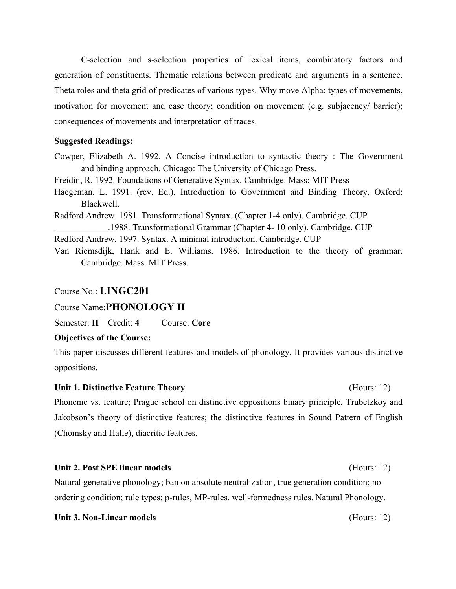C-selection and s-selection properties of lexical items, combinatory factors and generation of constituents. Thematic relations between predicate and arguments in a sentence. Theta roles and theta grid of predicates of various types. Why move Alpha: types of movements, motivation for movement and case theory; condition on movement (e.g. subjacency/ barrier); consequences of movements and interpretation of traces.

## **Suggested Readings:**

Cowper, Elizabeth A. 1992. A Concise introduction to syntactic theory : The Government and binding approach. Chicago: The University of Chicago Press.

Freidin, R. 1992. Foundations of Generative Syntax. Cambridge. Mass: MIT Press

- Haegeman, L. 1991. (rev. Ed.). Introduction to Government and Binding Theory. Oxford: Blackwell.
- Radford Andrew. 1981. Transformational Syntax. (Chapter 1-4 only). Cambridge. CUP \_\_\_\_\_\_\_\_\_\_\_\_.1988. Transformational Grammar (Chapter 4- 10 only). Cambridge. CUP
- Redford Andrew, 1997. Syntax. A minimal introduction. Cambridge. CUP
- Van Riemsdijk, Hank and E. Williams. 1986. Introduction to the theory of grammar. Cambridge. Mass. MIT Press.

## Course No.: **LINGC201**

# Course Name:**PHONOLOGY II**

Semester: **II** Credit: **4** Course: **Core**

# **Objectives of the Course:**

This paper discusses different features and models of phonology. It provides various distinctive oppositions.

# **Unit 1. Distinctive Feature Theory** (Hours: 12)

Phoneme vs. feature; Prague school on distinctive oppositions binary principle, Trubetzkoy and Jakobson's theory of distinctive features; the distinctive features in Sound Pattern of English (Chomsky and Halle), diacritic features.

## **Unit 2. Post SPE linear models** (Hours: 12)

Natural generative phonology; ban on absolute neutralization, true generation condition; no ordering condition; rule types; p-rules, MP-rules, well-formedness rules. Natural Phonology.

## **Unit 3. Non-Linear models** (Hours: 12)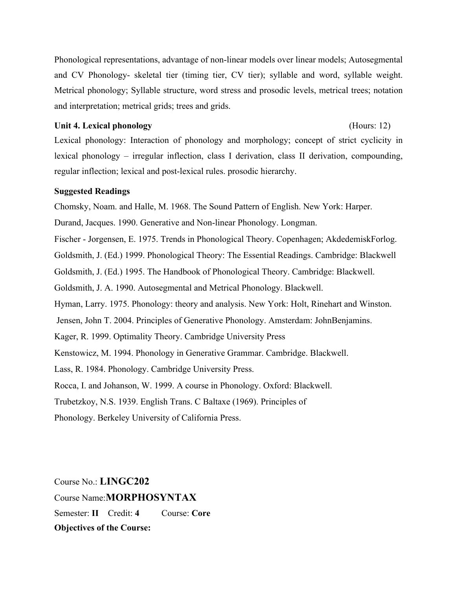Phonological representations, advantage of non-linear models over linear models; Autosegmental and CV Phonology- skeletal tier (timing tier, CV tier); syllable and word, syllable weight. Metrical phonology; Syllable structure, word stress and prosodic levels, metrical trees; notation and interpretation; metrical grids; trees and grids.

## **Unit 4. Lexical phonology** (Hours: 12)

Lexical phonology: Interaction of phonology and morphology; concept of strict cyclicity in lexical phonology – irregular inflection, class I derivation, class II derivation, compounding, regular inflection; lexical and post-lexical rules. prosodic hierarchy.

## **Suggested Readings**

Chomsky, Noam. and Halle, M. 1968. The Sound Pattern of English. New York: Harper.

Durand, Jacques. 1990. Generative and Non-linear Phonology. Longman.

Fischer - Jorgensen, E. 1975. Trends in Phonological Theory. Copenhagen; AkdedemiskForlog.

Goldsmith, J. (Ed.) 1999. Phonological Theory: The Essential Readings. Cambridge: Blackwell

Goldsmith, J. (Ed.) 1995. The Handbook of Phonological Theory. Cambridge: Blackwell.

Goldsmith, J. A. 1990. Autosegmental and Metrical Phonology. Blackwell.

Hyman, Larry. 1975. Phonology: theory and analysis. New York: Holt, Rinehart and Winston.

Jensen, John T. 2004. Principles of Generative Phonology. Amsterdam: JohnBenjamins.

Kager, R. 1999. Optimality Theory. Cambridge University Press

Kenstowicz, M. 1994. Phonology in Generative Grammar. Cambridge. Blackwell.

Lass, R. 1984. Phonology. Cambridge University Press.

Rocca, I. and Johanson, W. 1999. A course in Phonology. Oxford: Blackwell.

Trubetzkoy, N.S. 1939. English Trans. C Baltaxe (1969). Principles of

Phonology. Berkeley University of California Press.

Course No.: **LINGC202** Course Name:**MORPHOSYNTAX** Semester: **II** Credit: **4** Course: **Core Objectives of the Course:**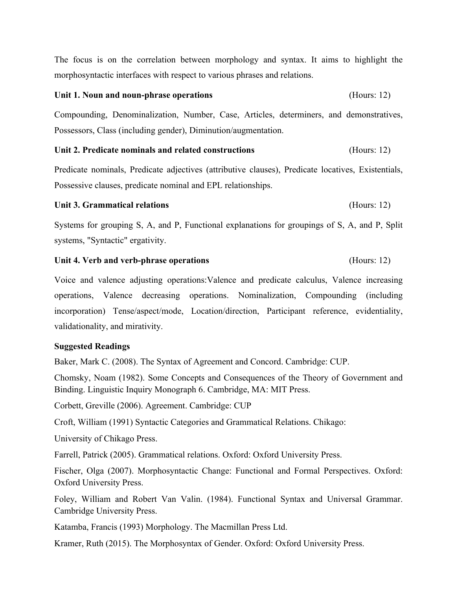The focus is on the correlation between morphology and syntax. It aims to highlight the morphosyntactic interfaces with respect to various phrases and relations.

# **Unit 1. Noun and noun-phrase operations** (Hours: 12)

Compounding, Denominalization, Number, Case, Articles, determiners, and demonstratives, Possessors, Class (including gender), Diminution/augmentation.

# Unit 2. Predicate nominals and related constructions (Hours: 12)

Predicate nominals, Predicate adjectives (attributive clauses), Predicate locatives, Existentials, Possessive clauses, predicate nominal and EPL relationships.

# **Unit 3. Grammatical relations** (Hours: 12)

Systems for grouping S, A, and P, Functional explanations for groupings of S, A, and P, Split systems, "Syntactic" ergativity.

# **Unit 4. Verb and verb-phrase operations** (Hours: 12)

Voice and valence adjusting operations:Valence and predicate calculus, Valence increasing operations, Valence decreasing operations. Nominalization, Compounding (including incorporation) Tense/aspect/mode, Location/direction, Participant reference, evidentiality, validationality, and mirativity.

# **Suggested Readings**

Baker, Mark C. (2008). The Syntax of Agreement and Concord. Cambridge: CUP.

Chomsky, Noam (1982). Some Concepts and Consequences of the Theory of Government and Binding. Linguistic Inquiry Monograph 6. Cambridge, MA: MIT Press.

Corbett, Greville (2006). Agreement. Cambridge: CUP

Croft, William (1991) Syntactic Categories and Grammatical Relations. Chikago:

University of Chikago Press.

Farrell, Patrick (2005). Grammatical relations. Oxford: Oxford University Press.

Fischer, Olga (2007). Morphosyntactic Change: Functional and Formal Perspectives. Oxford: Oxford University Press.

Foley, William and Robert Van Valin. (1984). Functional Syntax and Universal Grammar. Cambridge University Press.

Katamba, Francis (1993) Morphology. The Macmillan Press Ltd.

Kramer, Ruth (2015). The Morphosyntax of Gender. Oxford: Oxford University Press.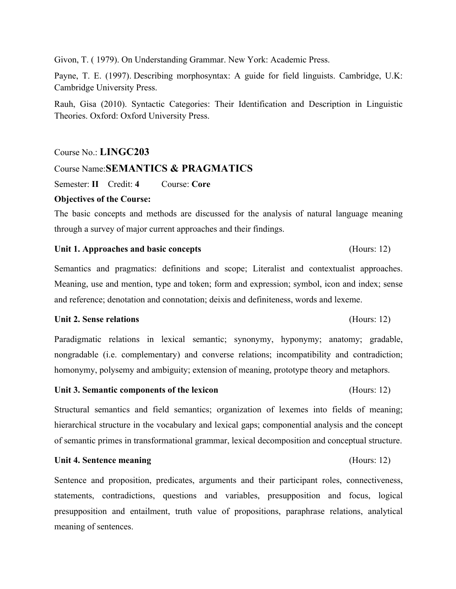Givon, T. ( 1979). On Understanding Grammar. New York: Academic Press.

Payne, T. E. (1997). Describing morphosyntax: A guide for field linguists. Cambridge, U.K: Cambridge University Press.

Rauh, Gisa (2010). Syntactic Categories: Their Identification and Description in Linguistic Theories. Oxford: Oxford University Press.

## Course No.: **LINGC203**

# Course Name:**SEMANTICS & PRAGMATICS**

Semester: **II** Credit: **4** Course: **Core**

## **Objectives of the Course:**

The basic concepts and methods are discussed for the analysis of natural language meaning through a survey of major current approaches and their findings.

## Unit 1. Approaches and basic concepts (Hours: 12)

Semantics and pragmatics: definitions and scope; Literalist and contextualist approaches. Meaning, use and mention, type and token; form and expression; symbol, icon and index; sense and reference; denotation and connotation; deixis and definiteness, words and lexeme.

## **Unit 2. Sense relations** (Hours: 12)

Paradigmatic relations in lexical semantic; synonymy, hyponymy; anatomy; gradable, nongradable (i.e. complementary) and converse relations; incompatibility and contradiction; homonymy, polysemy and ambiguity; extension of meaning, prototype theory and metaphors.

### Unit 3. Semantic components of the lexicon (Hours: 12)

Structural semantics and field semantics; organization of lexemes into fields of meaning; hierarchical structure in the vocabulary and lexical gaps; componential analysis and the concept of semantic primes in transformational grammar, lexical decomposition and conceptual structure.

## **Unit 4. Sentence meaning** (Hours: 12)

Sentence and proposition, predicates, arguments and their participant roles, connectiveness, statements, contradictions, questions and variables, presupposition and focus, logical presupposition and entailment, truth value of propositions, paraphrase relations, analytical meaning of sentences.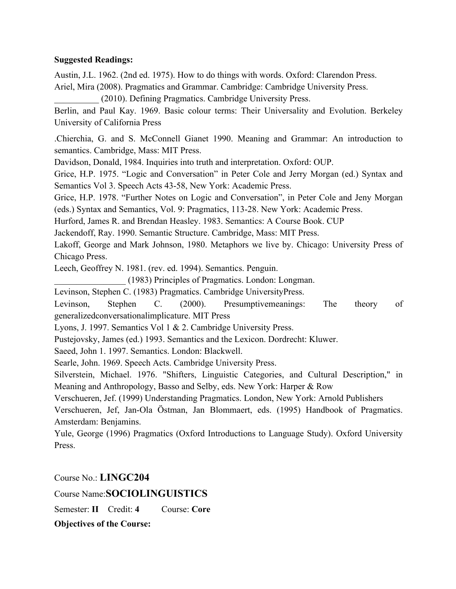# **Suggested Readings:**

Austin, J.L. 1962. (2nd ed. 1975). How to do things with words. Oxford: Clarendon Press.

Ariel, Mira (2008). Pragmatics and Grammar. Cambridge: Cambridge University Press.

\_\_\_\_\_\_\_\_\_\_ (2010). Defining Pragmatics. Cambridge University Press.

Berlin, and Paul Kay. 1969. Basic colour terms: Their Universality and Evolution. Berkeley University of California Press

.Chierchia, G. and S. McConnell Gianet 1990. Meaning and Grammar: An introduction to semantics. Cambridge, Mass: MIT Press.

Davidson, Donald, 1984. Inquiries into truth and interpretation. Oxford: OUP.

Grice, H.P. 1975. "Logic and Conversation" in Peter Cole and Jerry Morgan (ed.) Syntax and Semantics Vol 3. Speech Acts 43-58, New York: Academic Press.

Grice, H.P. 1978. "Further Notes on Logic and Conversation", in Peter Cole and Jeny Morgan (eds.) Syntax and Semantics, Vol. 9: Pragmatics, 113-28. New York: Academic Press.

Hurford, James R. and Brendan Heasley. 1983. Semantics: A Course Book. CUP

Jackendoff, Ray. 1990. Semantic Structure. Cambridge, Mass: MIT Press.

Lakoff, George and Mark Johnson, 1980. Metaphors we live by. Chicago: University Press of Chicago Press.

Leech, Geoffrey N. 1981. (rev. ed. 1994). Semantics. Penguin.

\_\_\_\_\_\_\_\_\_\_\_\_\_\_\_\_ (1983) Principles of Pragmatics. London: Longman.

Levinson, Stephen C. (1983) Pragmatics. Cambridge UniversityPress.

Levinson, Stephen C. (2000). Presumptivemeanings: The theory of generalizedconversationalimplicature. MIT Press

Lyons, J. 1997. Semantics Vol 1 & 2. Cambridge University Press.

Pustejovsky, James (ed.) 1993. Semantics and the Lexicon. Dordrecht: Kluwer.

Saeed, John 1. 1997. Semantics. London: Blackwell.

Searle, John. 1969. Speech Acts. Cambridge University Press.

Silverstein, Michael. 1976. "Shifters, Linguistic Categories, and Cultural Description," in Meaning and Anthropology, Basso and Selby, eds. New York: Harper & Row

Verschueren, Jef. (1999) Understanding Pragmatics. London, New York: Arnold Publishers

Verschueren, Jef, Jan-Ola Östman, Jan Blommaert, eds. (1995) Handbook of Pragmatics. Amsterdam: Benjamins.

Yule, George (1996) Pragmatics (Oxford Introductions to Language Study). Oxford University Press.

Course No.: **LINGC204**

Course Name:**SOCIOLINGUISTICS**

Semester: **II** Credit: **4** Course: **Core**

**Objectives of the Course:**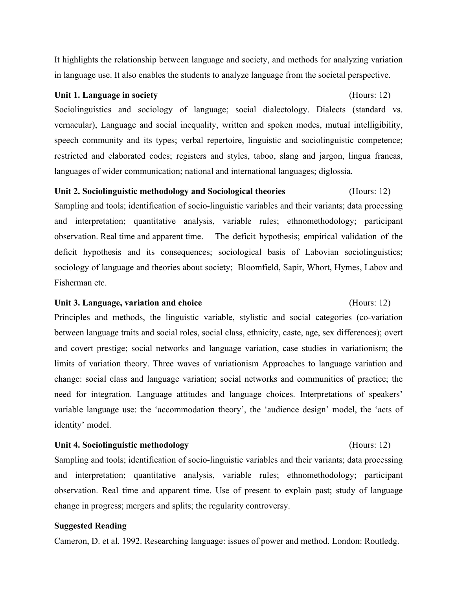It highlights the relationship between language and society, and methods for analyzing variation in language use. It also enables the students to analyze language from the societal perspective.

## **Unit 1. Language in society** (Hours: 12)

Sociolinguistics and sociology of language; social dialectology. Dialects (standard vs. vernacular), Language and social inequality, written and spoken modes, mutual intelligibility, speech community and its types; verbal repertoire, linguistic and sociolinguistic competence; restricted and elaborated codes; registers and styles, taboo, slang and jargon, lingua francas, languages of wider communication; national and international languages; diglossia.

# **Unit 2. Sociolinguistic methodology and Sociological theories** (Hours: 12)

Sampling and tools; identification of socio-linguistic variables and their variants; data processing and interpretation; quantitative analysis, variable rules; ethnomethodology; participant observation. Real time and apparent time. The deficit hypothesis; empirical validation of the deficit hypothesis and its consequences; sociological basis of Labovian sociolinguistics; sociology of language and theories about society; Bloomfield, Sapir, Whort, Hymes, Labov and Fisherman etc.

# **Unit 3. Language, variation and choice** (Hours: 12)

Principles and methods, the linguistic variable, stylistic and social categories (co-variation between language traits and social roles, social class, ethnicity, caste, age, sex differences); overt and covert prestige; social networks and language variation, case studies in variationism; the limits of variation theory. Three waves of variationism Approaches to language variation and change: social class and language variation; social networks and communities of practice; the need for integration. Language attitudes and language choices. Interpretations of speakers' variable language use: the 'accommodation theory', the 'audience design' model, the 'acts of identity' model.

# **Unit 4. Sociolinguistic methodology** (Hours: 12)

Sampling and tools; identification of socio-linguistic variables and their variants; data processing and interpretation; quantitative analysis, variable rules; ethnomethodology; participant observation. Real time and apparent time. Use of present to explain past; study of language change in progress; mergers and splits; the regularity controversy.

# **Suggested Reading**

Cameron, D. et al. 1992. Researching language: issues of power and method. London: Routledg.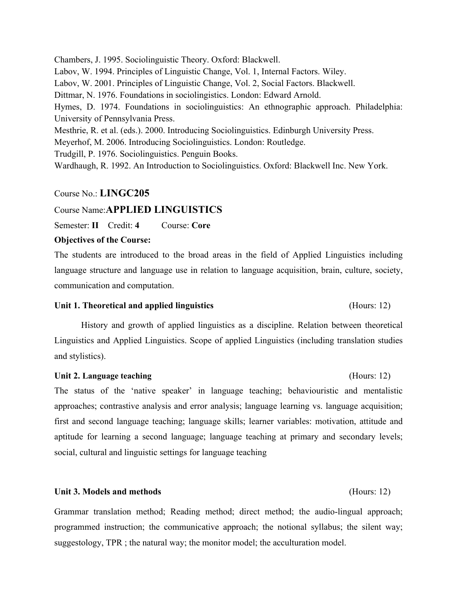Chambers, J. 1995. Sociolinguistic Theory. Oxford: Blackwell. Labov, W. 1994. Principles of Linguistic Change, Vol. 1, Internal Factors. Wiley. Labov, W. 2001. Principles of Linguistic Change, Vol. 2, Social Factors. Blackwell. Dittmar, N. 1976. Foundations in sociolingistics. London: Edward Arnold. Hymes, D. 1974. Foundations in sociolinguistics: An ethnographic approach. Philadelphia: University of Pennsylvania Press. Mesthrie, R. et al. (eds.). 2000. Introducing Sociolinguistics. Edinburgh University Press. Meyerhof, M. 2006. Introducing Sociolinguistics. London: Routledge. Trudgill, P. 1976. Sociolinguistics. Penguin Books.

Wardhaugh, R. 1992. An Introduction to Sociolinguistics. Oxford: Blackwell Inc. New York.

## Course No.: **LINGC205**

# Course Name:**APPLIED LINGUISTICS**

Semester: **II** Credit: **4** Course: **Core**

## **Objectives of the Course:**

The students are introduced to the broad areas in the field of Applied Linguistics including language structure and language use in relation to language acquisition, brain, culture, society, communication and computation.

## **Unit 1. Theoretical and applied linguistics** (Hours: 12)

History and growth of applied linguistics as a discipline. Relation between theoretical Linguistics and Applied Linguistics. Scope of applied Linguistics (including translation studies and stylistics).

## Unit 2. Language teaching *CHOURS: 12* (Hours: 12)

The status of the 'native speaker' in language teaching; behaviouristic and mentalistic approaches; contrastive analysis and error analysis; language learning vs. language acquisition; first and second language teaching; language skills; learner variables: motivation, attitude and aptitude for learning a second language; language teaching at primary and secondary levels; social, cultural and linguistic settings for language teaching

# **Unit 3. Models and methods** (Hours: 12)

Grammar translation method; Reading method; direct method; the audio-lingual approach; programmed instruction; the communicative approach; the notional syllabus; the silent way; suggestology, TPR ; the natural way; the monitor model; the acculturation model.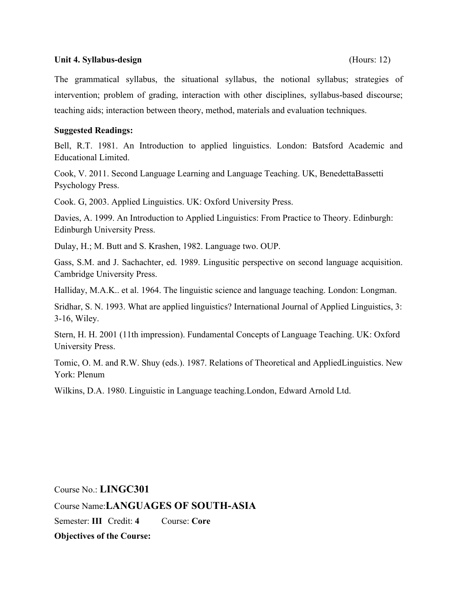## Unit 4. Syllabus-design (Hours: 12)

The grammatical syllabus, the situational syllabus, the notional syllabus; strategies of intervention; problem of grading, interaction with other disciplines, syllabus-based discourse; teaching aids; interaction between theory, method, materials and evaluation techniques.

# **Suggested Readings:**

Bell, R.T. 1981. An Introduction to applied linguistics. London: Batsford Academic and Educational Limited.

Cook, V. 2011. Second Language Learning and Language Teaching. UK, BenedettaBassetti Psychology Press.

Cook. G, 2003. Applied Linguistics. UK: Oxford University Press.

Davies, A. 1999. An Introduction to Applied Linguistics: From Practice to Theory. Edinburgh: Edinburgh University Press.

Dulay, H.; M. Butt and S. Krashen, 1982. Language two. OUP.

Gass, S.M. and J. Sachachter, ed. 1989. Lingusitic perspective on second language acquisition. Cambridge University Press.

Halliday, M.A.K.. et al. 1964. The linguistic science and language teaching. London: Longman.

Sridhar, S. N. 1993. What are applied linguistics? International Journal of Applied Linguistics, 3: 3-16, Wiley.

Stern, H. H. 2001 (11th impression). Fundamental Concepts of Language Teaching. UK: Oxford University Press.

Tomic, O. M. and R.W. Shuy (eds.). 1987. Relations of Theoretical and AppliedLinguistics. New York: Plenum

Wilkins, D.A. 1980. Linguistic in Language teaching.London, Edward Arnold Ltd.

Course No.: **LINGC301** Course Name:**LANGUAGES OF SOUTH-ASIA** Semester: **III** Credit: **4** Course: **Core Objectives of the Course:**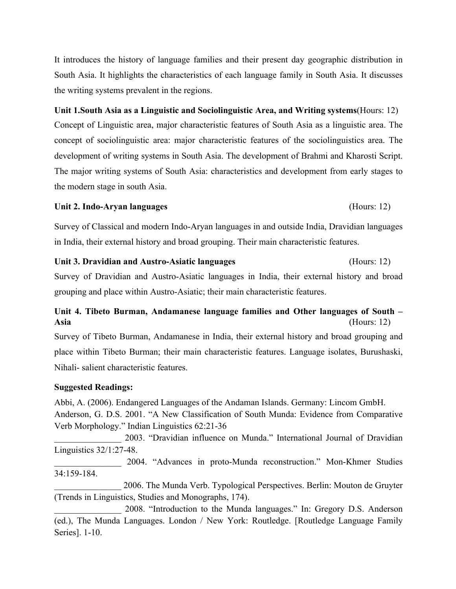It introduces the history of language families and their present day geographic distribution in South Asia. It highlights the characteristics of each language family in South Asia. It discusses the writing systems prevalent in the regions.

# **Unit 1.South Asia as a Linguistic and Sociolinguistic Area, and Writing systems**(Hours: 12)

Concept of Linguistic area, major characteristic features of South Asia as a linguistic area. The concept of sociolinguistic area: major characteristic features of the sociolinguistics area. The development of writing systems in South Asia. The development of Brahmi and Kharosti Script. The major writing systems of South Asia: characteristics and development from early stages to the modern stage in south Asia.

# **Unit 2. Indo-Aryan languages** (Hours: 12)

Survey of Classical and modern Indo-Aryan languages in and outside India, Dravidian languages in India, their external history and broad grouping. Their main characteristic features.

# **Unit 3. Dravidian and Austro-Asiatic languages** (Hours: 12)

Survey of Dravidian and Austro-Asiatic languages in India, their external history and broad grouping and place within Austro-Asiatic; their main characteristic features.

# **Unit 4. Tibeto Burman, Andamanese language families and Other languages of South – Asia** (Hours: 12)

Survey of Tibeto Burman, Andamanese in India, their external history and broad grouping and place within Tibeto Burman; their main characteristic features. Language isolates, Burushaski, Nihali- salient characteristic features.

# **Suggested Readings:**

Abbi, A. (2006). Endangered Languages of the Andaman Islands. Germany: Lincom GmbH. Anderson, G. D.S. 2001. "A New Classification of South Munda: Evidence from Comparative Verb Morphology." Indian Linguistics 62:21-36

\_\_\_\_\_\_\_\_\_\_\_\_\_\_\_ 2003. "Dravidian influence on Munda." International Journal of Dravidian Linguistics 32/1:27-48.

\_\_\_\_\_\_\_\_\_\_\_\_\_\_\_ 2004. "Advances in proto-Munda reconstruction." Mon-Khmer Studies 34:159-184.

\_\_\_\_\_\_\_\_\_\_\_\_\_\_\_ 2006. The Munda Verb. Typological Perspectives. Berlin: Mouton de Gruyter (Trends in Linguistics, Studies and Monographs, 174).

2008. "Introduction to the Munda languages." In: Gregory D.S. Anderson (ed.), The Munda Languages. London / New York: Routledge. [Routledge Language Family Series]. 1-10.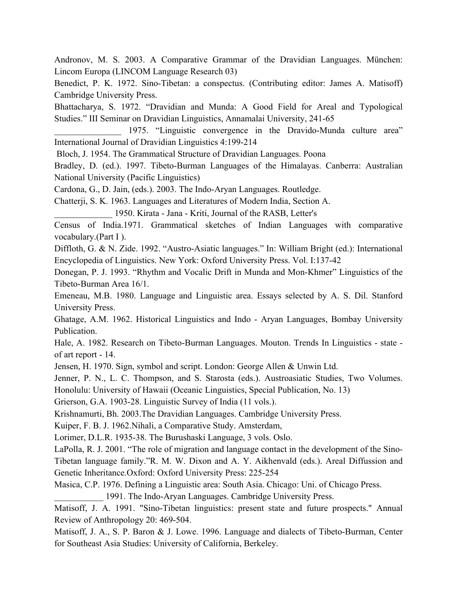Andronov, M. S. 2003. A Comparative Grammar of the Dravidian Languages. München: Lincom Europa (LINCOM Language Research 03)

Benedict, P. K. 1972. Sino-Tibetan: a conspectus. (Contributing editor: James A. Matisoff) Cambridge University Press.

Bhattacharya, S. 1972. "Dravidian and Munda: A Good Field for Areal and Typological Studies." III Seminar on Dravidian Linguistics, Annamalai University, 241-65

1975. "Linguistic convergence in the Dravido-Munda culture area" International Journal of Dravidian Linguistics 4:199-214

Bloch, J. 1954. The Grammatical Structure of Dravidian Languages. Poona

Bradley, D. (ed.). 1997. Tibeto-Burman Languages of the Himalayas. Canberra: Australian National University (Pacific Linguistics)

Cardona, G., D. Jain, (eds.). 2003. The Indo-Aryan Languages. Routledge.

Chatterji, S. K. 1963. Languages and Literatures of Modern India, Section A.

\_\_\_\_\_\_\_\_\_\_\_\_\_ 1950. Kirata - Jana - Kriti, Journal of the RASB, Letter's

Census of India.1971. Grammatical sketches of Indian Languages with comparative vocabulary.(Part I ).

Diffloth, G. & N. Zide. 1992. "Austro-Asiatic languages." In: William Bright (ed.): International Encyclopedia of Linguistics. New York: Oxford University Press. Vol. I:137-42

Donegan, P. J. 1993. "Rhythm and Vocalic Drift in Munda and Mon-Khmer" Linguistics of the Tibeto-Burman Area 16/1.

Emeneau, M.B. 1980. Language and Linguistic area. Essays selected by A. S. Dil. Stanford University Press.

Ghatage, A.M. 1962. Historical Linguistics and Indo - Aryan Languages, Bombay University Publication.

Hale, A. 1982. Research on Tibeto-Burman Languages. Mouton. Trends In Linguistics - state of art report - 14.

Jensen, H. 1970. Sign, symbol and script. London: George Allen & Unwin Ltd.

Jenner, P. N., L. C. Thompson, and S. Starosta (eds.). Austroasiatic Studies, Two Volumes. Honolulu: University of Hawaii (Oceanic Linguistics, Special Publication, No. 13)

Grierson, G.A. 1903-28. Linguistic Survey of India (11 vols.).

Krishnamurti, Bh. 2003.The Dravidian Languages. Cambridge University Press.

Kuiper, F. B. J. 1962.Nihali, a Comparative Study. Amsterdam,

Lorimer, D.L.R. 1935-38. The Burushaski Language, 3 vols. Oslo.

LaPolla, R. J. 2001. "The role of migration and language contact in the development of the Sino-Tibetan language family."R. M. W. Dixon and A. Y. Aikhenvald (eds.). Areal Diffussion and Genetic Inheritance.Oxford: Oxford University Press: 225-254

Masica, C.P. 1976. Defining a Linguistic area: South Asia. Chicago: Uni. of Chicago Press.

\_\_\_\_\_\_\_\_\_\_\_ 1991. The Indo-Aryan Languages. Cambridge University Press.

Matisoff, J. A. 1991. "Sino-Tibetan linguistics: present state and future prospects." Annual Review of Anthropology 20: 469-504.

Matisoff, J. A., S. P. Baron & J. Lowe. 1996. Language and dialects of Tibeto-Burman, Center for Southeast Asia Studies: University of California, Berkeley.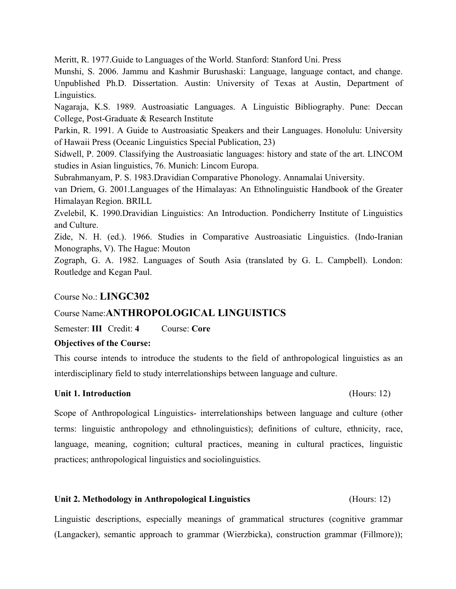Meritt, R. 1977.Guide to Languages of the World. Stanford: Stanford Uni. Press

Munshi, S. 2006. Jammu and Kashmir Burushaski: Language, language contact, and change. Unpublished Ph.D. Dissertation. Austin: University of Texas at Austin, Department of Linguistics.

Nagaraja, K.S. 1989. Austroasiatic Languages. A Linguistic Bibliography. Pune: Deccan College, Post-Graduate & Research Institute

Parkin, R. 1991. A Guide to Austroasiatic Speakers and their Languages. Honolulu: University of Hawaii Press (Oceanic Linguistics Special Publication, 23)

Sidwell, P. 2009. Classifying the Austroasiatic languages: history and state of the art. LINCOM studies in Asian linguistics, 76. Munich: Lincom Europa.

Subrahmanyam, P. S. 1983.Dravidian Comparative Phonology. Annamalai University.

van Driem, G. 2001.Languages of the Himalayas: An Ethnolinguistic Handbook of the Greater Himalayan Region. BRILL

Zvelebil, K. 1990.Dravidian Linguistics: An Introduction. Pondicherry Institute of Linguistics and Culture.

Zide, N. H. (ed.). 1966. Studies in Comparative Austroasiatic Linguistics. (Indo-Iranian Monographs, V). The Hague: Mouton

Zograph, G. A. 1982. Languages of South Asia (translated by G. L. Campbell). London: Routledge and Kegan Paul.

# Course No.: **LINGC302**

# Course Name:**ANTHROPOLOGICAL LINGUISTICS**

Semester: **III** Credit: **4** Course: **Core**

# **Objectives of the Course:**

This course intends to introduce the students to the field of anthropological linguistics as an interdisciplinary field to study interrelationships between language and culture.

# **Unit 1. Introduction** (Hours: 12)

Scope of Anthropological Linguistics- interrelationships between language and culture (other terms: linguistic anthropology and ethnolinguistics); definitions of culture, ethnicity, race, language, meaning, cognition; cultural practices, meaning in cultural practices, linguistic practices; anthropological linguistics and sociolinguistics.

# **Unit 2. Methodology in Anthropological Linguistics** (Hours: 12)

Linguistic descriptions, especially meanings of grammatical structures (cognitive grammar (Langacker), semantic approach to grammar (Wierzbicka), construction grammar (Fillmore));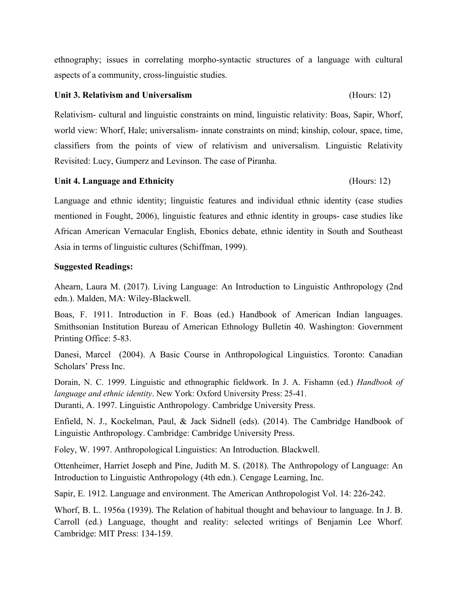ethnography; issues in correlating morpho-syntactic structures of a language with cultural aspects of a community, cross-linguistic studies.

## **Unit 3. Relativism and Universalism** (Hours: 12)

Relativism- cultural and linguistic constraints on mind, linguistic relativity: Boas, Sapir, Whorf, world view: Whorf, Hale; universalism- innate constraints on mind; kinship, colour, space, time, classifiers from the points of view of relativism and universalism. Linguistic Relativity Revisited: Lucy, Gumperz and Levinson. The case of Piranha.

**Unit 4. Language and Ethnicity** (Hours: 12)

Language and ethnic identity; linguistic features and individual ethnic identity (case studies mentioned in Fought, 2006), linguistic features and ethnic identity in groups- case studies like African American Vernacular English, Ebonics debate, ethnic identity in South and Southeast Asia in terms of linguistic cultures (Schiffman, 1999).

# **Suggested Readings:**

Ahearn, Laura M. (2017). Living Language: An Introduction to Linguistic Anthropology (2nd edn.). Malden, MA: Wiley-Blackwell.

Boas, F. 1911. Introduction in F. Boas (ed.) Handbook of American Indian languages. Smithsonian Institution Bureau of American Ethnology Bulletin 40. Washington: Government Printing Office: 5-83.

Danesi, Marcel (2004). A Basic Course in Anthropological Linguistics. Toronto: Canadian Scholars' Press Inc.

Dorain, N. C. 1999. Linguistic and ethnographic fieldwork. In J. A. Fishamn (ed.) *Handbook of language and ethnic identity*. New York: Oxford University Press: 25-41. Duranti, A. 1997. Linguistic Anthropology. Cambridge University Press.

Enfield, N. J., Kockelman, Paul, & Jack Sidnell (eds). (2014). The Cambridge Handbook of Linguistic Anthropology. Cambridge: Cambridge University Press.

Foley, W. 1997. Anthropological Linguistics: An Introduction. Blackwell.

Ottenheimer, Harriet Joseph and Pine, Judith M. S. (2018). The Anthropology of Language: An Introduction to Linguistic Anthropology (4th edn.). Cengage Learning, Inc.

Sapir, E. 1912. Language and environment. The American Anthropologist Vol. 14: 226-242.

Whorf, B. L. 1956a (1939). The Relation of habitual thought and behaviour to language. In J. B. Carroll (ed.) Language, thought and reality: selected writings of Benjamin Lee Whorf. Cambridge: MIT Press: 134-159.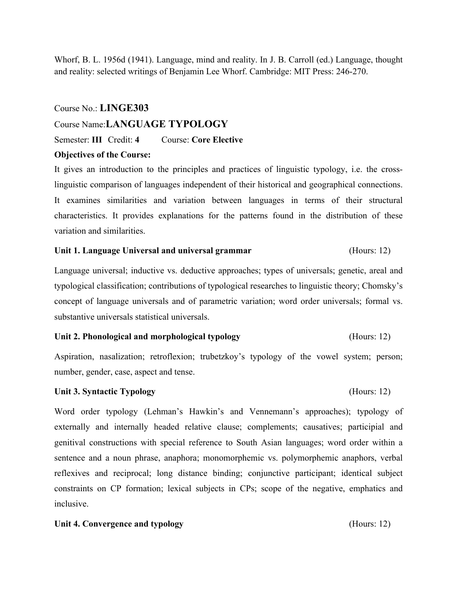Whorf, B. L. 1956d (1941). Language, mind and reality. In J. B. Carroll (ed.) Language, thought and reality: selected writings of Benjamin Lee Whorf. Cambridge: MIT Press: 246-270.

# Course No.: **LINGE303**

# Course Name:**LANGUAGE TYPOLOGY**

## Semester: **III** Credit: **4** Course: **Core Elective**

## **Objectives of the Course:**

It gives an introduction to the principles and practices of linguistic typology, i.e. the crosslinguistic comparison of languages independent of their historical and geographical connections. It examines similarities and variation between languages in terms of their structural characteristics. It provides explanations for the patterns found in the distribution of these variation and similarities.

## **Unit 1. Language Universal and universal grammar** (Hours: 12)

Language universal; inductive vs. deductive approaches; types of universals; genetic, areal and typological classification; contributions of typological researches to linguistic theory; Chomsky's concept of language universals and of parametric variation; word order universals; formal vs. substantive universals statistical universals.

## **Unit 2. Phonological and morphological typology** (Hours: 12)

Aspiration, nasalization; retroflexion; trubetzkoy's typology of the vowel system; person; number, gender, case, aspect and tense.

## **Unit 3. Syntactic Typology** (Hours: 12)

Word order typology (Lehman's Hawkin's and Vennemann's approaches); typology of externally and internally headed relative clause; complements; causatives; participial and genitival constructions with special reference to South Asian languages; word order within a sentence and a noun phrase, anaphora; monomorphemic vs. polymorphemic anaphors, verbal reflexives and reciprocal; long distance binding; conjunctive participant; identical subject constraints on CP formation; lexical subjects in CPs; scope of the negative, emphatics and inclusive.

## Unit 4. Convergence and typology (Hours: 12)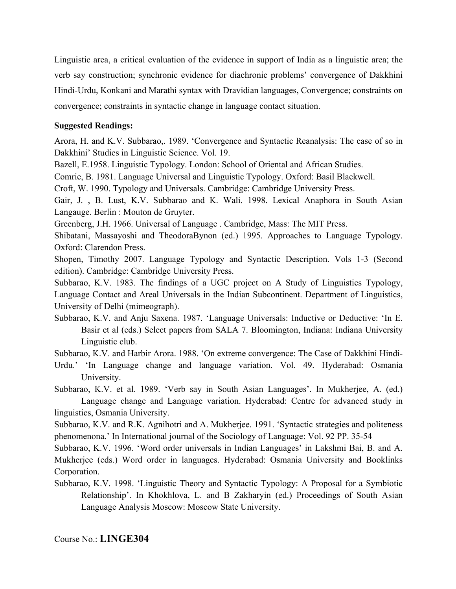Linguistic area, a critical evaluation of the evidence in support of India as a linguistic area; the verb say construction; synchronic evidence for diachronic problems' convergence of Dakkhini Hindi-Urdu, Konkani and Marathi syntax with Dravidian languages, Convergence; constraints on convergence; constraints in syntactic change in language contact situation.

# **Suggested Readings:**

Arora, H. and K.V. Subbarao,. 1989. 'Convergence and Syntactic Reanalysis: The case of so in Dakkhini' Studies in Linguistic Science. Vol. 19.

Bazell, E.1958. Linguistic Typology. London: School of Oriental and African Studies.

Comrie, B. 1981. Language Universal and Linguistic Typology. Oxford: Basil Blackwell.

Croft, W. 1990. Typology and Universals. Cambridge: Cambridge University Press.

Gair, J. , B. Lust, K.V. Subbarao and K. Wali. 1998. Lexical Anaphora in South Asian Langauge. Berlin : Mouton de Gruyter.

Greenberg, J.H. 1966. Universal of Language . Cambridge, Mass: The MIT Press.

Shibatani, Massayoshi and TheodoraBynon (ed.) 1995. Approaches to Language Typology. Oxford: Clarendon Press.

Shopen, Timothy 2007. Language Typology and Syntactic Description. Vols 1-3 (Second edition). Cambridge: Cambridge University Press.

Subbarao, K.V. 1983. The findings of a UGC project on A Study of Linguistics Typology, Language Contact and Areal Universals in the Indian Subcontinent. Department of Linguistics, University of Delhi (mimeograph).

Subbarao, K.V. and Anju Saxena. 1987. 'Language Universals: Inductive or Deductive: 'In E. Basir et al (eds.) Select papers from SALA 7. Bloomington, Indiana: Indiana University Linguistic club.

Subbarao, K.V. and Harbir Arora. 1988. 'On extreme convergence: The Case of Dakkhini Hindi-

Urdu.' 'In Language change and language variation. Vol. 49. Hyderabad: Osmania University.

Subbarao, K.V. et al. 1989. 'Verb say in South Asian Languages'. In Mukherjee, A. (ed.) Language change and Language variation. Hyderabad: Centre for advanced study in linguistics, Osmania University.

Subbarao, K.V. and R.K. Agnihotri and A. Mukherjee. 1991. 'Syntactic strategies and politeness phenomenona.' In International journal of the Sociology of Language: Vol. 92 PP. 35-54

Subbarao, K.V. 1996. 'Word order universals in Indian Languages' in Lakshmi Bai, B. and A. Mukherjee (eds.) Word order in languages. Hyderabad: Osmania University and Booklinks Corporation.

Subbarao, K.V. 1998. 'Linguistic Theory and Syntactic Typology: A Proposal for a Symbiotic Relationship'. In Khokhlova, L. and B Zakharyin (ed.) Proceedings of South Asian Language Analysis Moscow: Moscow State University.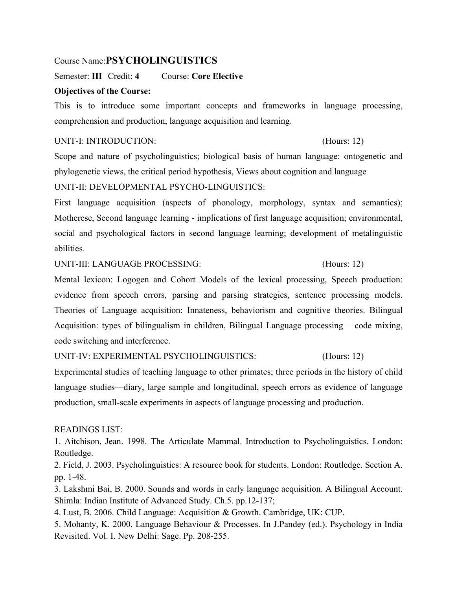# Course Name:**PSYCHOLINGUISTICS**

Semester: **III** Credit: **4** Course: **Core Elective**

# **Objectives of the Course:**

This is to introduce some important concepts and frameworks in language processing, comprehension and production, language acquisition and learning.

# UNIT-I: INTRODUCTION: (Hours: 12)

Scope and nature of psycholinguistics; biological basis of human language: ontogenetic and phylogenetic views, the critical period hypothesis, Views about cognition and language UNIT-II: DEVELOPMENTAL PSYCHO-LINGUISTICS:

First language acquisition (aspects of phonology, morphology, syntax and semantics); Motherese, Second language learning - implications of first language acquisition; environmental, social and psychological factors in second language learning; development of metalinguistic abilities.

UNIT-III: LANGUAGE PROCESSING: (Hours: 12)

Mental lexicon: Logogen and Cohort Models of the lexical processing, Speech production: evidence from speech errors, parsing and parsing strategies, sentence processing models. Theories of Language acquisition: Innateness, behaviorism and cognitive theories. Bilingual Acquisition: types of bilingualism in children, Bilingual Language processing – code mixing, code switching and interference.

UNIT-IV: EXPERIMENTAL PSYCHOLINGUISTICS: (Hours: 12)

Experimental studies of teaching language to other primates; three periods in the history of child language studies—diary, large sample and longitudinal, speech errors as evidence of language production, small-scale experiments in aspects of language processing and production.

# READINGS LIST:

1. Aitchison, Jean. 1998. The Articulate Mammal. Introduction to Psycholinguistics. London: Routledge.

2. Field, J. 2003. Psycholinguistics: A resource book for students. London: Routledge. Section A. pp. 1-48.

3. Lakshmi Bai, B. 2000. Sounds and words in early language acquisition. A Bilingual Account. Shimla: Indian Institute of Advanced Study. Ch.5. pp.12-137;

4. Lust, B. 2006. Child Language: Acquisition & Growth. Cambridge, UK: CUP.

5. Mohanty, K. 2000. Language Behaviour & Processes. In J.Pandey (ed.). Psychology in India Revisited. Vol. I. New Delhi: Sage. Pp. 208-255.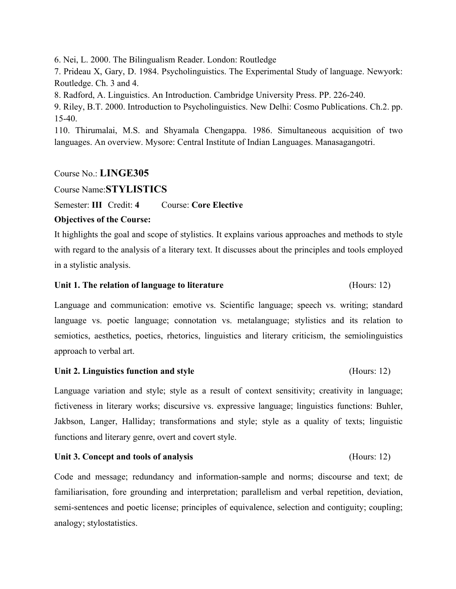6. Nei, L. 2000. The Bilingualism Reader. London: Routledge

7. Prideau X, Gary, D. 1984. Psycholinguistics. The Experimental Study of language. Newyork: Routledge. Ch. 3 and 4.

8. Radford, A. Linguistics. An Introduction. Cambridge University Press. PP. 226-240.

9. Riley, B.T. 2000. Introduction to Psycholinguistics. New Delhi: Cosmo Publications. Ch.2. pp. 15-40.

110. Thirumalai, M.S. and Shyamala Chengappa. 1986. Simultaneous acquisition of two languages. An overview. Mysore: Central Institute of Indian Languages. Manasagangotri.

# Course No.: **LINGE305**

Course Name:**STYLISTICS**

Semester: **III** Credit: **4** Course: **Core Elective**

# **Objectives of the Course:**

It highlights the goal and scope of stylistics. It explains various approaches and methods to style with regard to the analysis of a literary text. It discusses about the principles and tools employed in a stylistic analysis.

## **Unit 1. The relation of language to literature** (Hours: 12)

Language and communication: emotive vs. Scientific language; speech vs. writing; standard language vs. poetic language; connotation vs. metalanguage; stylistics and its relation to semiotics, aesthetics, poetics, rhetorics, linguistics and literary criticism, the semiolinguistics approach to verbal art.

# **Unit 2. Linguistics function and style** (Hours: 12)

Language variation and style; style as a result of context sensitivity; creativity in language; fictiveness in literary works; discursive vs. expressive language; linguistics functions: Buhler, Jakbson, Langer, Halliday; transformations and style; style as a quality of texts; linguistic functions and literary genre, overt and covert style.

# **Unit 3. Concept and tools of analysis** (Hours: 12)

Code and message; redundancy and information-sample and norms; discourse and text; de familiarisation, fore grounding and interpretation; parallelism and verbal repetition, deviation, semi-sentences and poetic license; principles of equivalence, selection and contiguity; coupling; analogy; stylostatistics.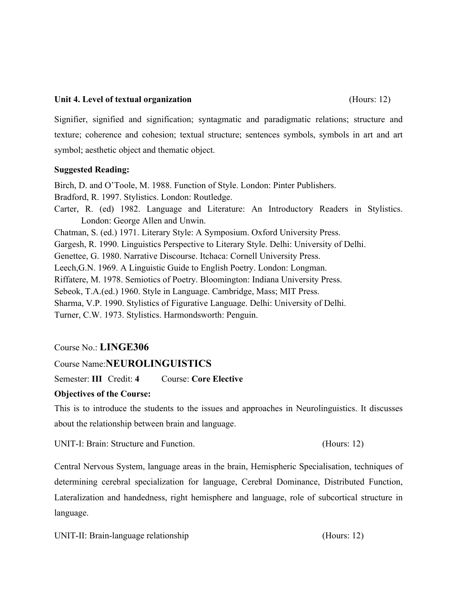# **Unit 4. Level of textual organization** (Hours: 12)

Signifier, signified and signification; syntagmatic and paradigmatic relations; structure and texture; coherence and cohesion; textual structure; sentences symbols, symbols in art and art symbol; aesthetic object and thematic object.

# **Suggested Reading:**

Birch, D. and O'Toole, M. 1988. Function of Style. London: Pinter Publishers. Bradford, R. 1997. Stylistics. London: Routledge. Carter, R. (ed) 1982. Language and Literature: An Introductory Readers in Stylistics. London: George Allen and Unwin. Chatman, S. (ed.) 1971. Literary Style: A Symposium. Oxford University Press. Gargesh, R. 1990. Linguistics Perspective to Literary Style. Delhi: University of Delhi. Genettee, G. 1980. Narrative Discourse. Itchaca: Cornell University Press. Leech,G.N. 1969. A Linguistic Guide to English Poetry. London: Longman. Riffatere, M. 1978. Semiotics of Poetry. Bloomington: Indiana University Press. Sebeok, T.A.(ed.) 1960. Style in Language. Cambridge, Mass; MIT Press. Sharma, V.P. 1990. Stylistics of Figurative Language. Delhi: University of Delhi. Turner, C.W. 1973. Stylistics. Harmondsworth: Penguin.

# Course No.: **LINGE306**

# Course Name:**NEUROLINGUISTICS**

Semester: **III** Credit: **4** Course: **Core Elective**

# **Objectives of the Course:**

This is to introduce the students to the issues and approaches in Neurolinguistics. It discusses about the relationship between brain and language.

UNIT-I: Brain: Structure and Function. (Hours: 12)

Central Nervous System, language areas in the brain, Hemispheric Specialisation, techniques of determining cerebral specialization for language, Cerebral Dominance, Distributed Function, Lateralization and handedness, right hemisphere and language, role of subcortical structure in language.

UNIT-II: Brain-language relationship (Hours: 12)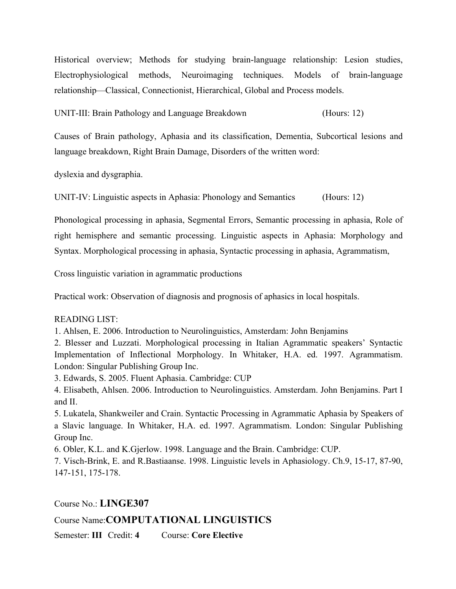Historical overview; Methods for studying brain-language relationship: Lesion studies, Electrophysiological methods, Neuroimaging techniques. Models of brain-language relationship—Classical, Connectionist, Hierarchical, Global and Process models.

UNIT-III: Brain Pathology and Language Breakdown (Hours: 12)

Causes of Brain pathology, Aphasia and its classification, Dementia, Subcortical lesions and language breakdown, Right Brain Damage, Disorders of the written word:

dyslexia and dysgraphia.

UNIT-IV: Linguistic aspects in Aphasia: Phonology and Semantics (Hours: 12)

Phonological processing in aphasia, Segmental Errors, Semantic processing in aphasia, Role of right hemisphere and semantic processing. Linguistic aspects in Aphasia: Morphology and Syntax. Morphological processing in aphasia, Syntactic processing in aphasia, Agrammatism,

Cross linguistic variation in agrammatic productions

Practical work: Observation of diagnosis and prognosis of aphasics in local hospitals.

### READING LIST:

1. Ahlsen, E. 2006. Introduction to Neurolinguistics, Amsterdam: John Benjamins

2. Blesser and Luzzati. Morphological processing in Italian Agrammatic speakers' Syntactic Implementation of Inflectional Morphology. In Whitaker, H.A. ed. 1997. Agrammatism. London: Singular Publishing Group Inc.

3. Edwards, S. 2005. Fluent Aphasia. Cambridge: CUP

4. Elisabeth, Ahlsen. 2006. Introduction to Neurolinguistics. Amsterdam. John Benjamins. Part I and II.

5. Lukatela, Shankweiler and Crain. Syntactic Processing in Agrammatic Aphasia by Speakers of a Slavic language. In Whitaker, H.A. ed. 1997. Agrammatism. London: Singular Publishing Group Inc.

6. Obler, K.L. and K.Gjerlow. 1998. Language and the Brain. Cambridge: CUP.

7. Visch-Brink, E. and R.Bastiaanse. 1998. Linguistic levels in Aphasiology. Ch.9, 15-17, 87-90, 147-151, 175-178.

Course No.: **LINGE307**

# Course Name:**COMPUTATIONAL LINGUISTICS**

Semester: **III** Credit: **4** Course: **Core Elective**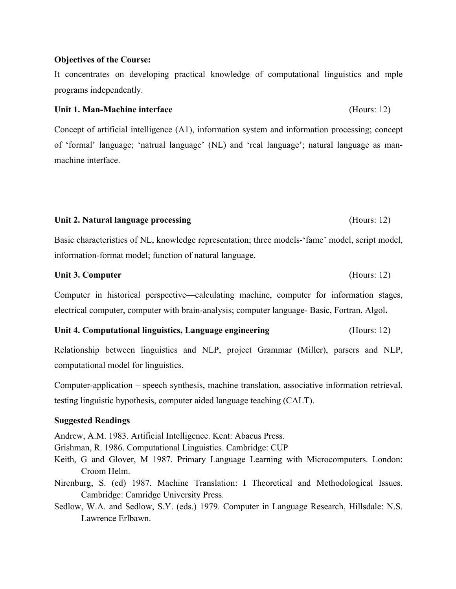## **Objectives of the Course:**

It concentrates on developing practical knowledge of computational linguistics and mple programs independently.

## **Unit 1. Man-Machine interface** (Hours: 12)

Concept of artificial intelligence (A1), information system and information processing; concept of 'formal' language; 'natrual language' (NL) and 'real language'; natural language as manmachine interface.

## **Unit 2. Natural language processing** (Hours: 12)

Basic characteristics of NL, knowledge representation; three models-'fame' model, script model, information-format model; function of natural language.

## **Unit 3. Computer** (Hours: 12)

Computer in historical perspective—calculating machine, computer for information stages, electrical computer, computer with brain-analysis; computer language- Basic, Fortran, Algol**.**

# **Unit 4. Computational linguistics, Language engineering** (Hours: 12)

Relationship between linguistics and NLP, project Grammar (Miller), parsers and NLP, computational model for linguistics.

Computer-application – speech synthesis, machine translation, associative information retrieval, testing linguistic hypothesis, computer aided language teaching (CALT).

# **Suggested Readings**

Andrew, A.M. 1983. Artificial Intelligence. Kent: Abacus Press.

Grishman, R. 1986. Computational Linguistics. Cambridge: CUP

- Keith, G and Glover, M 1987. Primary Language Learning with Microcomputers. London: Croom Helm.
- Nirenburg, S. (ed) 1987. Machine Translation: I Theoretical and Methodological Issues. Cambridge: Camridge University Press.
- Sedlow, W.A. and Sedlow, S.Y. (eds.) 1979. Computer in Language Research, Hillsdale: N.S. Lawrence Erlbawn.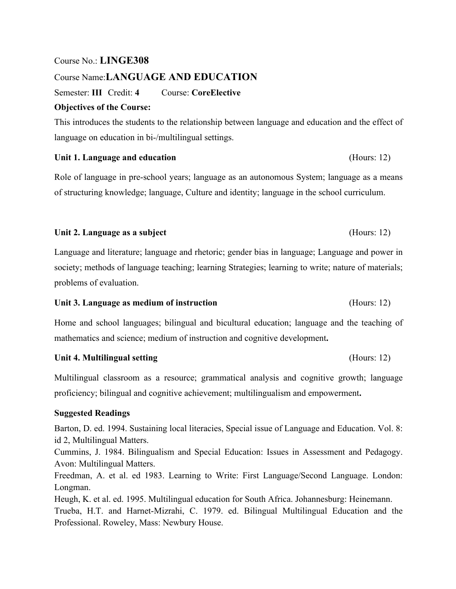# Course No.: **LINGE308**

# Course Name:**LANGUAGE AND EDUCATION**

Semester: **III** Credit: **4** Course: **CoreElective**

# **Objectives of the Course:**

This introduces the students to the relationship between language and education and the effect of language on education in bi-/multilingual settings.

# Unit 1. Language and education (Hours: 12)

Role of language in pre-school years; language as an autonomous System; language as a means of structuring knowledge; language, Culture and identity; language in the school curriculum.

# Unit 2. Language as a subject (Hours: 12)

Language and literature; language and rhetoric; gender bias in language; Language and power in society; methods of language teaching; learning Strategies; learning to write; nature of materials; problems of evaluation.

# Unit 3. Language as medium of instruction (Hours: 12)

Home and school languages; bilingual and bicultural education; language and the teaching of mathematics and science; medium of instruction and cognitive development**.** 

# Unit 4. Multilingual setting **Example 2.1 and Setting** (Hours: 12)

Multilingual classroom as a resource; grammatical analysis and cognitive growth; language proficiency; bilingual and cognitive achievement; multilingualism and empowerment**.**

# **Suggested Readings**

Barton, D. ed. 1994. Sustaining local literacies, Special issue of Language and Education. Vol. 8: id 2, Multilingual Matters.

Cummins, J. 1984. Bilingualism and Special Education: Issues in Assessment and Pedagogy. Avon: Multilingual Matters.

Freedman, A. et al. ed 1983. Learning to Write: First Language/Second Language. London: Longman.

Heugh, K. et al. ed. 1995. Multilingual education for South Africa. Johannesburg: Heinemann. Trueba, H.T. and Harnet-Mizrahi, C. 1979. ed. Bilingual Multilingual Education and the Professional. Roweley, Mass: Newbury House.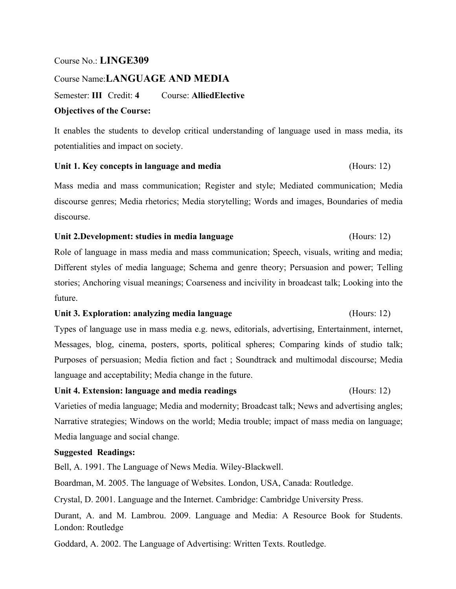# Course No.: **LINGE309**

## Course Name:**LANGUAGE AND MEDIA**

Semester: **III** Credit: **4** Course: **AlliedElective**

# **Objectives of the Course:**

It enables the students to develop critical understanding of language used in mass media, its potentialities and impact on society.

## **Unit 1. Key concepts in language and media** (Hours: 12)

Mass media and mass communication; Register and style; Mediated communication; Media discourse genres; Media rhetorics; Media storytelling; Words and images, Boundaries of media discourse.

## **Unit 2.Development: studies in media language** (Hours: 12)

Role of language in mass media and mass communication; Speech, visuals, writing and media; Different styles of media language; Schema and genre theory; Persuasion and power; Telling stories; Anchoring visual meanings; Coarseness and incivility in broadcast talk; Looking into the future.

## **Unit 3. Exploration: analyzing media language** (Hours: 12)

Types of language use in mass media e.g. news, editorials, advertising, Entertainment, internet, Messages, blog, cinema, posters, sports, political spheres; Comparing kinds of studio talk; Purposes of persuasion; Media fiction and fact ; Soundtrack and multimodal discourse; Media language and acceptability; Media change in the future.

# **Unit 4. Extension: language and media readings** (Hours: 12)

Varieties of media language; Media and modernity; Broadcast talk; News and advertising angles; Narrative strategies; Windows on the world; Media trouble; impact of mass media on language; Media language and social change.

# **Suggested Readings:**

Bell, A. 1991. The Language of News Media. Wiley-Blackwell.

Boardman, M. 2005. The language of Websites. London, USA, Canada: Routledge.

Crystal, D. 2001. Language and the Internet. Cambridge: Cambridge University Press.

Durant, A. and M. Lambrou. 2009. Language and Media: A Resource Book for Students. London: Routledge

Goddard, A. 2002. The Language of Advertising: Written Texts. Routledge.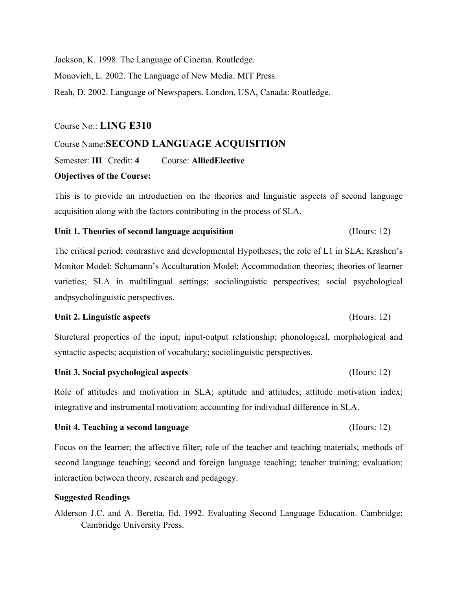Jackson, K. 1998. The Language of Cinema. Routledge. Monovich, L. 2002. The Language of New Media. MIT Press. Reah, D. 2002. Language of Newspapers. London, USA, Canada: Routledge.

## Course No.: **LING E310**

# Course Name:**SECOND LANGUAGE ACQUISITION**

Semester: **III** Credit: **4** Course: **AlliedElective**

## **Objectives of the Course:**

This is to provide an introduction on the theories and linguistic aspects of second language acquisition along with the factors contributing in the process of SLA.

### **Unit 1. Theories of second language acquisition** (Hours: 12)

The critical period; contrastive and developmental Hypotheses; the role of L1 in SLA; Krashen's Monitor Model; Schumann's Acculturation Model; Accommodation theories; theories of learner varieties; SLA in multilingual settings; sociolinguistic perspectives; social psychological andpsycholinguistic perspectives.

### **Unit 2. Linguistic aspects** (Hours: 12)

Sturctural properties of the input; input-output relationship; phonological, morphological and syntactic aspects; acquistion of vocabulary; sociolinguistic perspectives.

### **Unit 3. Social psychological aspects** (Hours: 12)

Role of attitudes and motivation in SLA; aptitude and attitudes; attitude motivation index; integrative and instrumental motivation; accounting for individual difference in SLA.

## **Unit 4. Teaching a second language** (Hours: 12)

Focus on the learner; the affective filter; role of the teacher and teaching materials; methods of second language teaching; second and foreign language teaching; teacher training; evaluation; interaction between theory, research and pedagogy.

## **Suggested Readings**

Alderson J.C. and A. Beretta, Ed. 1992. Evaluating Second Language Education. Cambridge: Cambridge University Press.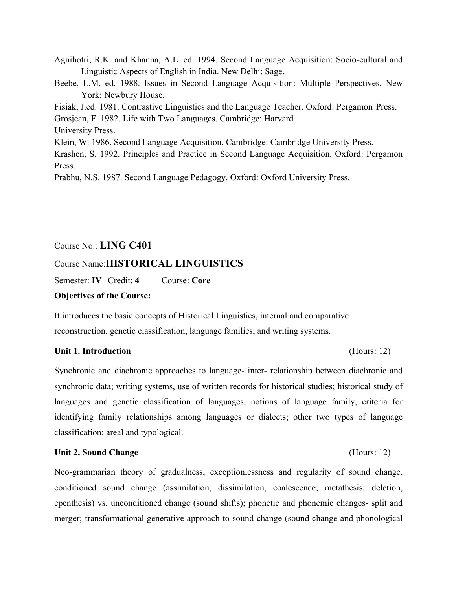Agnihotri, R.K. and Khanna, A.L. ed. 1994. Second Language Acquisition: Socio-cultural and Linguistic Aspects of English in India. New Delhi: Sage.

Beebe, L.M. ed. 1988. Issues in Second Language Acquisition: Multiple Perspectives. New York: Newbury House.

Fisiak, J.ed. 1981. Contrastive Linguistics and the Language Teacher. Oxford: Pergamon Press.

Grosjean, F. 1982. Life with Two Languages. Cambridge: Harvard

University Press.

Klein, W. 1986. Second Language Acquisition. Cambridge: Cambridge University Press.

Krashen, S. 1992. Principles and Practice in Second Language Acquisition. Oxford: Pergamon Press.

Prabhu, N.S. 1987. Second Language Pedagogy. Oxford: Oxford University Press.

# Course No.: **LING C401**

# Course Name:**HISTORICAL LINGUISTICS**

Semester: **IV** Credit: **4** Course: **Core**

# **Objectives of the Course:**

It introduces the basic concepts of Historical Linguistics, internal and comparative reconstruction, genetic classification, language families, and writing systems.

# **Unit 1. Introduction** (Hours: 12)

Synchronic and diachronic approaches to language- inter- relationship between diachronic and synchronic data; writing systems, use of written records for historical studies; historical study of languages and genetic classification of languages, notions of language family, criteria for identifying family relationships among languages or dialects; other two types of language classification: areal and typological.

# **Unit 2. Sound Change** (Hours: 12)

Neo-grammarian theory of gradualness, exceptionlessness and regularity of sound change, conditioned sound change (assimilation, dissimilation, coalescence; metathesis; deletion, epenthesis) vs. unconditioned change (sound shifts); phonetic and phonemic changes- split and merger; transformational generative approach to sound change (sound change and phonological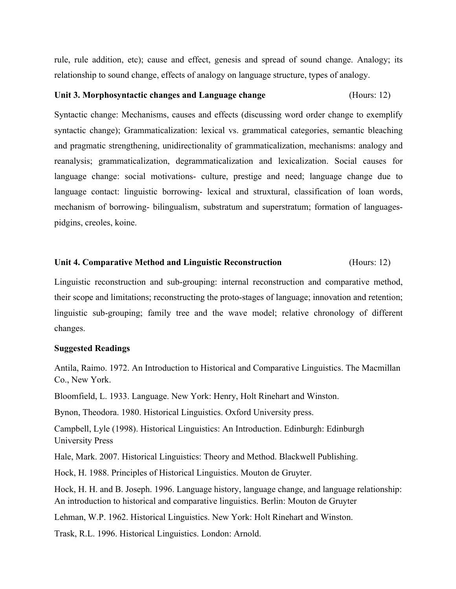rule, rule addition, etc); cause and effect, genesis and spread of sound change. Analogy; its relationship to sound change, effects of analogy on language structure, types of analogy.

## **Unit 3. Morphosyntactic changes and Language change** (Hours: 12)

Syntactic change: Mechanisms, causes and effects (discussing word order change to exemplify syntactic change); Grammaticalization: lexical vs. grammatical categories, semantic bleaching and pragmatic strengthening, unidirectionality of grammaticalization, mechanisms: analogy and reanalysis; grammaticalization, degrammaticalization and lexicalization. Social causes for language change: social motivations- culture, prestige and need; language change due to language contact: linguistic borrowing- lexical and struxtural, classification of loan words, mechanism of borrowing- bilingualism, substratum and superstratum; formation of languagespidgins, creoles, koine.

## **Unit 4. Comparative Method and Linguistic Reconstruction** (Hours: 12)

Linguistic reconstruction and sub-grouping: internal reconstruction and comparative method, their scope and limitations; reconstructing the proto-stages of language; innovation and retention; linguistic sub-grouping; family tree and the wave model; relative chronology of different changes.

## **Suggested Readings**

Antila, Raimo. 1972. An Introduction to Historical and Comparative Linguistics. The Macmillan Co., New York.

Bloomfield, L. 1933. Language. New York: Henry, Holt Rinehart and Winston.

Bynon, Theodora. 1980. Historical Linguistics. Oxford University press.

Campbell, Lyle (1998). Historical Linguistics: An Introduction. Edinburgh: Edinburgh University Press

Hale, Mark. 2007. Historical Linguistics: Theory and Method. Blackwell Publishing.

Hock, H. 1988. Principles of Historical Linguistics. Mouton de Gruyter.

Hock, H. H. and B. Joseph. 1996. Language history, language change, and language relationship: An introduction to historical and comparative linguistics. Berlin: Mouton de Gruyter

Lehman, W.P. 1962. Historical Linguistics. New York: Holt Rinehart and Winston.

Trask, R.L. 1996. Historical Linguistics. London: Arnold.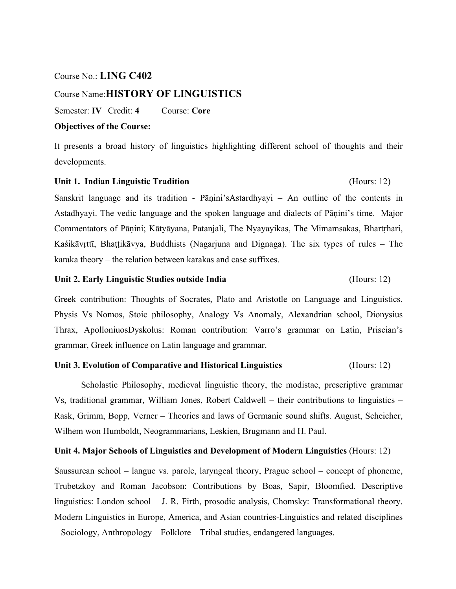## Course No.: **LING C402**

# Course Name:**HISTORY OF LINGUISTICS**

Semester: **IV** Credit: **4** Course: **Core**

# **Objectives of the Course:**

It presents a broad history of linguistics highlighting different school of thoughts and their developments.

## Unit 1. Indian Linguistic Tradition *Hours: 12* (Hours: 12)

Sanskrit language and its tradition - Pāṇini'sAstardhyayi – An outline of the contents in Astadhyayi. The vedic language and the spoken language and dialects of Pāṇini's time. Major Commentators of Pāṇini; Kātyāyana, Patanjali, The Nyayayikas, The Mimamsakas, Bhartṛhari, Kaśikāvṛttī, Bhaṭṭikāvya, Buddhists (Nagarjuna and Dignaga). The six types of rules – The karaka theory – the relation between karakas and case suffixes.

### **Unit 2. Early Linguistic Studies outside India** (Hours: 12)

Greek contribution: Thoughts of Socrates, Plato and Aristotle on Language and Linguistics. Physis Vs Nomos, Stoic philosophy, Analogy Vs Anomaly, Alexandrian school, Dionysius Thrax, ApolloniuosDyskolus: Roman contribution: Varro's grammar on Latin, Priscian's grammar, Greek influence on Latin language and grammar.

# **Unit 3. Evolution of Comparative and Historical Linguistics** (Hours: 12)

Scholastic Philosophy, medieval linguistic theory, the modistae, prescriptive grammar Vs, traditional grammar, William Jones, Robert Caldwell – their contributions to linguistics – Rask, Grimm, Bopp, Verner – Theories and laws of Germanic sound shifts. August, Scheicher, Wilhem won Humboldt, Neogrammarians, Leskien, Brugmann and H. Paul.

## **Unit 4. Major Schools of Linguistics and Development of Modern Linguistics** (Hours: 12)

Saussurean school – langue vs. parole, laryngeal theory, Prague school – concept of phoneme, Trubetzkoy and Roman Jacobson: Contributions by Boas, Sapir, Bloomfied. Descriptive linguistics: London school – J. R. Firth, prosodic analysis, Chomsky: Transformational theory. Modern Linguistics in Europe, America, and Asian countries-Linguistics and related disciplines – Sociology, Anthropology – Folklore – Tribal studies, endangered languages.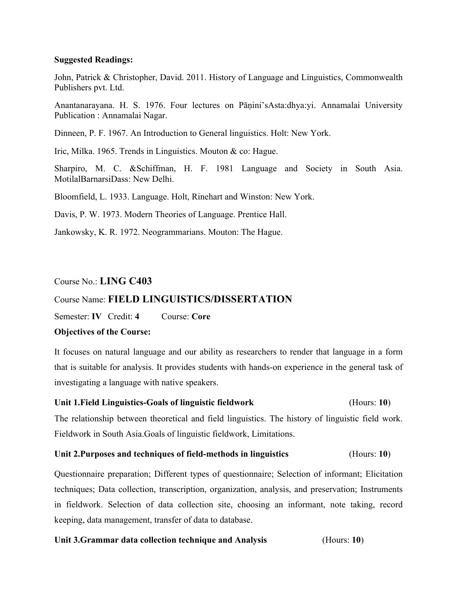## **Suggested Readings:**

John, Patrick & Christopher, David. 2011. History of Language and Linguistics, Commonwealth Publishers pvt. Ltd.

Anantanarayana. H. S. 1976. Four lectures on Pāṇini'sAsta:dhya:yi. Annamalai University Publication : Annamalai Nagar.

Dinneen, P. F. 1967. An Introduction to General linguistics. Holt: New York.

Iric, Milka. 1965. Trends in Linguistics. Mouton & co: Hague.

Sharpiro, M. C. &Schiffman, H. F. 1981 Language and Society in South Asia. MotilalBarnarsiDass: New Delhi.

Bloomfield, L. 1933. Language. Holt, Rinehart and Winston: New York.

Davis, P. W. 1973. Modern Theories of Language. Prentice Hall.

Jankowsky, K. R. 1972. Neogrammarians. Mouton: The Hague.

# Course No.: **LING C403**

# Course Name: **FIELD LINGUISTICS/DISSERTATION**

Semester: **IV** Credit: **4** Course: **Core**

# **Objectives of the Course:**

It focuses on natural language and our ability as researchers to render that language in a form that is suitable for analysis. It provides students with hands-on experience in the general task of investigating a language with native speakers.

# **Unit 1.Field Linguistics-Goals of linguistic fieldwork** (Hours: **10**)

The relationship between theoretical and field linguistics. The history of linguistic field work. Fieldwork in South Asia.Goals of linguistic fieldwork, Limitations.

# **Unit 2.Purposes and techniques of field-methods in linguistics** (Hours: **10**)

Questionnaire preparation; Different types of questionnaire; Selection of informant; Elicitation techniques; Data collection, transcription, organization, analysis, and preservation; Instruments in fieldwork. Selection of data collection site, choosing an informant, note taking, record keeping, data management, transfer of data to database.

# **Unit 3.Grammar data collection technique and Analysis** (Hours: **10**)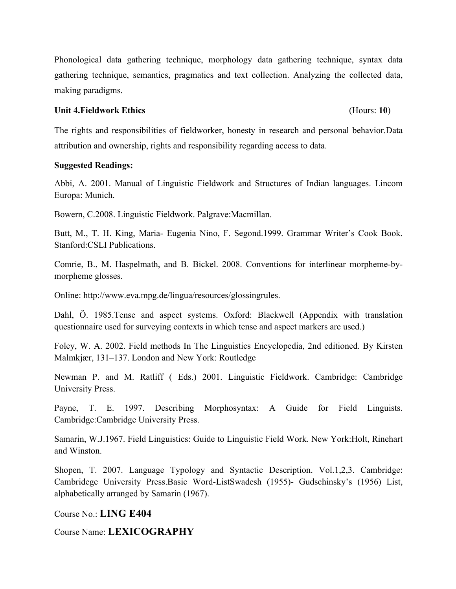Phonological data gathering technique, morphology data gathering technique, syntax data gathering technique, semantics, pragmatics and text collection. Analyzing the collected data, making paradigms.

## **Unit 4.Fieldwork Ethics** (Hours: **10**)

The rights and responsibilities of fieldworker, honesty in research and personal behavior.Data attribution and ownership, rights and responsibility regarding access to data.

# **Suggested Readings:**

Abbi, A. 2001. Manual of Linguistic Fieldwork and Structures of Indian languages. Lincom Europa: Munich.

Bowern, C.2008. Linguistic Fieldwork. Palgrave:Macmillan.

Butt, M., T. H. King, Maria- Eugenia Nino, F. Segond.1999. Grammar Writer's Cook Book. Stanford:CSLI Publications.

Comrie, B., M. Haspelmath, and B. Bickel. 2008. Conventions for interlinear morpheme-bymorpheme glosses.

Online: http://www.eva.mpg.de/lingua/resources/glossingrules.

Dahl, Ö. 1985.Tense and aspect systems. Oxford: Blackwell (Appendix with translation questionnaire used for surveying contexts in which tense and aspect markers are used.)

Foley, W. A. 2002. Field methods In The Linguistics Encyclopedia, 2nd editioned. By Kirsten Malmkjær, 131–137. London and New York: Routledge

Newman P. and M. Ratliff ( Eds.) 2001. Linguistic Fieldwork. Cambridge: Cambridge University Press.

Payne, T. E. 1997. Describing Morphosyntax: A Guide for Field Linguists. Cambridge:Cambridge University Press.

Samarin, W.J.1967. Field Linguistics: Guide to Linguistic Field Work. New York:Holt, Rinehart and Winston.

Shopen, T. 2007. Language Typology and Syntactic Description. Vol.1,2,3. Cambridge: Cambridege University Press.Basic Word-ListSwadesh (1955)- Gudschinsky's (1956) List, alphabetically arranged by Samarin (1967).

Course No.: **LING E404** 

Course Name: **LEXICOGRAPHY**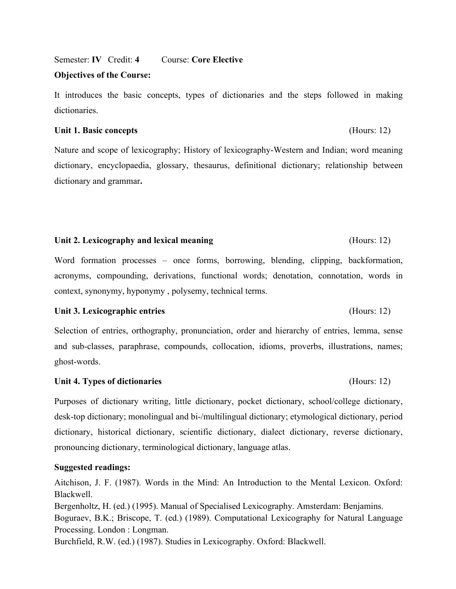Semester: **IV** Credit: **4** Course: **Core Elective**

## **Objectives of the Course:**

It introduces the basic concepts, types of dictionaries and the steps followed in making dictionaries.

## **Unit 1. Basic concepts** (Hours: 12)

Nature and scope of lexicography; History of lexicography-Western and Indian; word meaning dictionary, encyclopaedia, glossary, thesaurus, definitional dictionary; relationship between dictionary and grammar**.**

# **Unit 2. Lexicography and lexical meaning** (Hours: 12)

Word formation processes – once forms, borrowing, blending, clipping, backformation, acronyms, compounding, derivations, functional words; denotation, connotation, words in context, synonymy, hyponymy , polysemy, technical terms.

# **Unit 3. Lexicographic entries** (Hours: 12)

Selection of entries, orthography, pronunciation, order and hierarchy of entries, lemma, sense and sub-classes, paraphrase, compounds, collocation, idioms, proverbs, illustrations, names; ghost-words.

# **Unit 4. Types of dictionaries** (Hours: 12)

Purposes of dictionary writing, little dictionary, pocket dictionary, school/college dictionary, desk-top dictionary; monolingual and bi-/multilingual dictionary; etymological dictionary, period dictionary, historical dictionary, scientific dictionary, dialect dictionary, reverse dictionary, pronouncing dictionary, terminological dictionary, language atlas.

# **Suggested readings:**

Aitchison, J. F. (1987). Words in the Mind: An Introduction to the Mental Lexicon. Oxford: Blackwell.

Bergenholtz, H. (ed.) (1995). Manual of Specialised Lexicography. Amsterdam: Benjamins. Boguraev, B.K.; Briscope, T. (ed.) (1989). Computational Lexicography for Natural Language Processing. London : Longman.

Burchfield, R.W. (ed.) (1987). Studies in Lexicography. Oxford: Blackwell.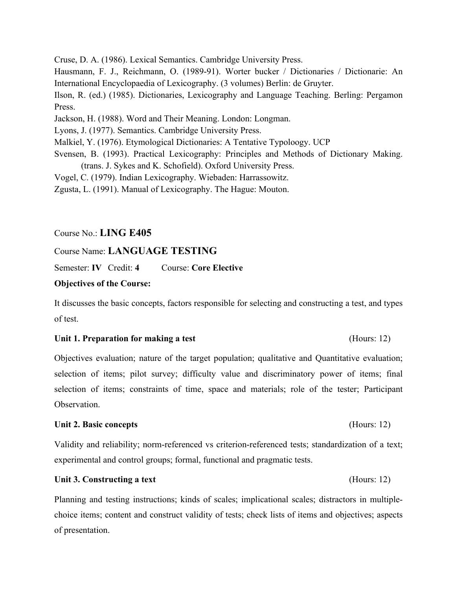Cruse, D. A. (1986). Lexical Semantics. Cambridge University Press. Hausmann, F. J., Reichmann, O. (1989-91). Worter bucker / Dictionaries / Dictionarie: An International Encyclopaedia of Lexicography. (3 volumes) Berlin: de Gruyter. Ilson, R. (ed.) (1985). Dictionaries, Lexicography and Language Teaching. Berling: Pergamon Press. Jackson, H. (1988). Word and Their Meaning. London: Longman. Lyons, J. (1977). Semantics. Cambridge University Press. Malkiel, Y. (1976). Etymological Dictionaries: A Tentative Typoloogy. UCP Svensen, B. (1993). Practical Lexicography: Principles and Methods of Dictionary Making. (trans. J. Sykes and K. Schofield). Oxford University Press. Vogel, C. (1979). Indian Lexicography. Wiebaden: Harrassowitz. Zgusta, L. (1991). Manual of Lexicography. The Hague: Mouton.

Course No.: **LING E405** 

# Course Name: **LANGUAGE TESTING**

Semester: **IV** Credit: **4** Course: **Core Elective**

# **Objectives of the Course:**

It discusses the basic concepts, factors responsible for selecting and constructing a test, and types of test.

# **Unit 1. Preparation for making a test** (Hours: 12)

Objectives evaluation; nature of the target population; qualitative and Quantitative evaluation; selection of items; pilot survey; difficulty value and discriminatory power of items; final selection of items; constraints of time, space and materials; role of the tester; Participant Observation.

# **Unit 2. Basic concepts** (Hours: 12)

Validity and reliability; norm-referenced vs criterion-referenced tests; standardization of a text; experimental and control groups; formal, functional and pragmatic tests.

# Unit 3. Constructing a text **Example 2.1** (Hours: 12)

Planning and testing instructions; kinds of scales; implicational scales; distractors in multiplechoice items; content and construct validity of tests; check lists of items and objectives; aspects of presentation.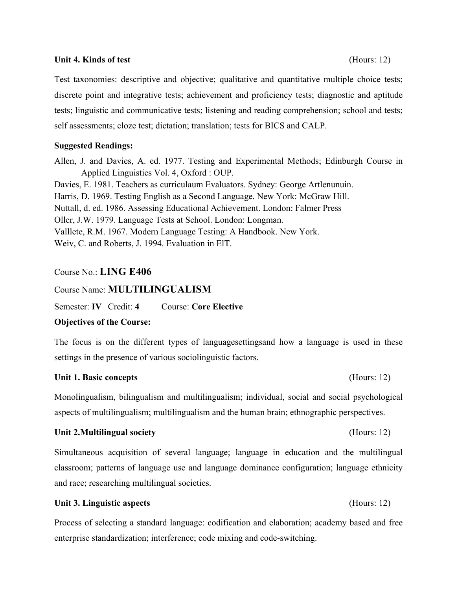## **Unit 4. Kinds of test** (Hours: 12)

Test taxonomies: descriptive and objective; qualitative and quantitative multiple choice tests; discrete point and integrative tests; achievement and proficiency tests; diagnostic and aptitude tests; linguistic and communicative tests; listening and reading comprehension; school and tests; self assessments; cloze test; dictation; translation; tests for BICS and CALP.

## **Suggested Readings:**

Allen, J. and Davies, A. ed. 1977. Testing and Experimental Methods; Edinburgh Course in Applied Linguistics Vol. 4, Oxford : OUP. Davies, E. 1981. Teachers as curriculaum Evaluators. Sydney: George Artlenunuin. Harris, D. 1969. Testing English as a Second Language. New York: McGraw Hill. Nuttall, d. ed. 1986. Assessing Educational Achievement. London: Falmer Press Oller, J.W. 1979. Language Tests at School. London: Longman. Valllete, R.M. 1967. Modern Language Testing: A Handbook. New York. Weiv, C. and Roberts, J. 1994. Evaluation in ElT.

# Course No.: **LING E406**

# Course Name: **MULTILINGUALISM**

Semester: **IV** Credit: **4** Course: **Core Elective**

## **Objectives of the Course:**

The focus is on the different types of languagesettingsand how a language is used in these settings in the presence of various sociolinguistic factors.

## **Unit 1. Basic concepts** (Hours: 12)

Monolingualism, bilingualism and multilingualism; individual, social and social psychological aspects of multilingualism; multilingualism and the human brain; ethnographic perspectives.

## **Unit 2.Multilingual society** (Hours: 12)

Simultaneous acquisition of several language; language in education and the multilingual classroom; patterns of language use and language dominance configuration; language ethnicity and race; researching multilingual societies.

## **Unit 3. Linguistic aspects** (Hours: 12)

Process of selecting a standard language: codification and elaboration; academy based and free enterprise standardization; interference; code mixing and code-switching.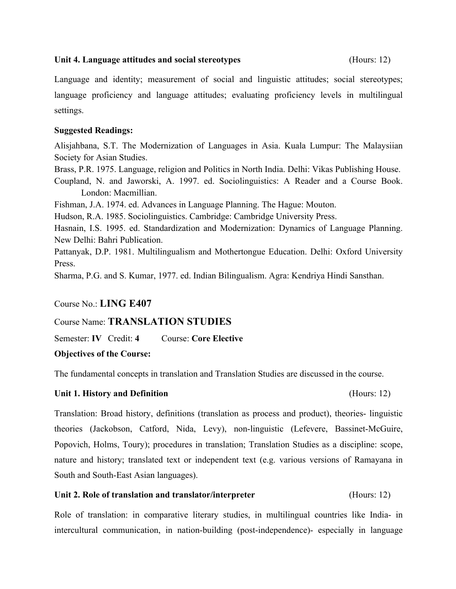## **Unit 4. Language attitudes and social stereotypes** (Hours: 12)

Language and identity; measurement of social and linguistic attitudes; social stereotypes; language proficiency and language attitudes; evaluating proficiency levels in multilingual settings.

# **Suggested Readings:**

Alisjahbana, S.T. The Modernization of Languages in Asia. Kuala Lumpur: The Malaysiian Society for Asian Studies.

Brass, P.R. 1975. Language, religion and Politics in North India. Delhi: Vikas Publishing House.

Coupland, N. and Jaworski, A. 1997. ed. Sociolinguistics: A Reader and a Course Book. London: Macmillian.

Fishman, J.A. 1974. ed. Advances in Language Planning. The Hague: Mouton.

Hudson, R.A. 1985. Sociolinguistics. Cambridge: Cambridge University Press.

Hasnain, I.S. 1995. ed. Standardization and Modernization: Dynamics of Language Planning. New Delhi: Bahri Publication.

Pattanyak, D.P. 1981. Multilingualism and Mothertongue Education. Delhi: Oxford University Press.

Sharma, P.G. and S. Kumar, 1977. ed. Indian Bilingualism. Agra: Kendriya Hindi Sansthan.

# Course No.: **LING E407**

# Course Name: **TRANSLATION STUDIES**

Semester: **IV** Credit: **4** Course: **Core Elective**

# **Objectives of the Course:**

The fundamental concepts in translation and Translation Studies are discussed in the course.

# Unit 1. History and Definition (Hours: 12)

Translation: Broad history, definitions (translation as process and product), theories- linguistic theories (Jackobson, Catford, Nida, Levy), non-linguistic (Lefevere, Bassinet-McGuire, Popovich, Holms, Toury); procedures in translation; Translation Studies as a discipline: scope, nature and history; translated text or independent text (e.g. various versions of Ramayana in South and South-East Asian languages).

# **Unit 2. Role of translation and translator/interpreter** (Hours: 12)

Role of translation: in comparative literary studies, in multilingual countries like India- in intercultural communication, in nation-building (post-independence)- especially in language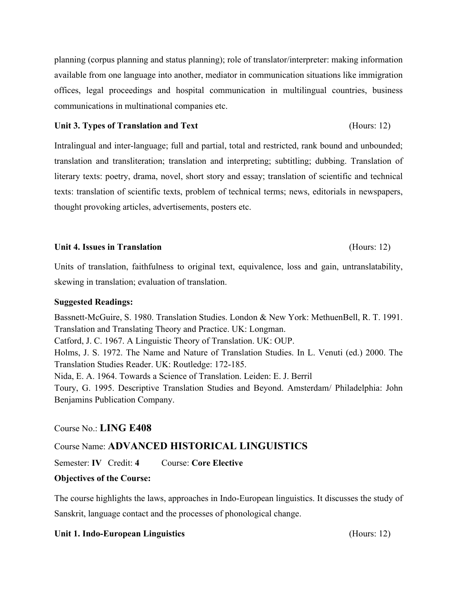planning (corpus planning and status planning); role of translator/interpreter: making information available from one language into another, mediator in communication situations like immigration offices, legal proceedings and hospital communication in multilingual countries, business communications in multinational companies etc.

## Unit 3. Types of Translation and Text **Exercise 2.12** (Hours: 12)

Intralingual and inter-language; full and partial, total and restricted, rank bound and unbounded; translation and transliteration; translation and interpreting; subtitling; dubbing. Translation of literary texts: poetry, drama, novel, short story and essay; translation of scientific and technical texts: translation of scientific texts, problem of technical terms; news, editorials in newspapers, thought provoking articles, advertisements, posters etc.

## **Unit 4. Issues in Translation** (Hours: 12)

Units of translation, faithfulness to original text, equivalence, loss and gain, untranslatability, skewing in translation; evaluation of translation.

# **Suggested Readings:**

Bassnett-McGuire, S. 1980. Translation Studies. London & New York: MethuenBell, R. T. 1991. Translation and Translating Theory and Practice. UK: Longman. Catford, J. C. 1967. A Linguistic Theory of Translation. UK: OUP. Holms, J. S. 1972. The Name and Nature of Translation Studies. In L. Venuti (ed.) 2000. The Translation Studies Reader. UK: Routledge: 172-185. Nida, E. A. 1964. Towards a Science of Translation. Leiden: E. J. Berril Toury, G. 1995. Descriptive Translation Studies and Beyond. Amsterdam/ Philadelphia: John Benjamins Publication Company.

# Course No.: **LING E408**

# Course Name: **ADVANCED HISTORICAL LINGUISTICS**

Semester: **IV** Credit: **4** Course: **Core Elective**

# **Objectives of the Course:**

The course highlights the laws, approaches in Indo-European linguistics. It discusses the study of Sanskrit, language contact and the processes of phonological change.

# **Unit 1. Indo-European Linguistics** (Hours: 12)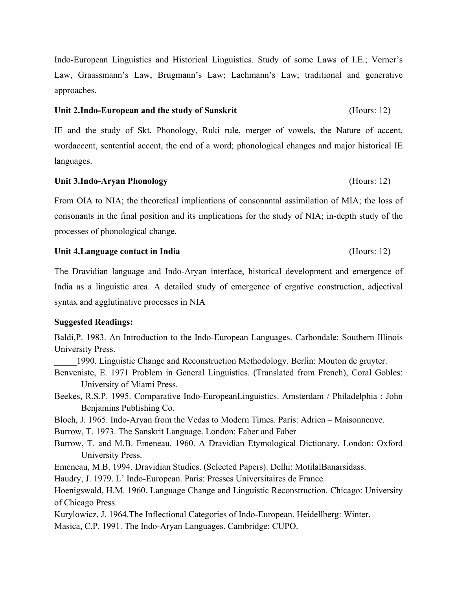Indo-European Linguistics and Historical Linguistics. Study of some Laws of I.E.; Verner's Law, Graassmann's Law, Brugmann's Law; Lachmann's Law; traditional and generative approaches.

### **Unit 2.Indo-European and the study of Sanskrit** (Hours: 12)

IE and the study of Skt. Phonology, Ruki rule, merger of vowels, the Nature of accent, wordaccent, sentential accent, the end of a word; phonological changes and major historical IE languages.

## **Unit 3.Indo-Aryan Phonology** (Hours: 12)

From OIA to NIA; the theoretical implications of consonantal assimilation of MIA; the loss of consonants in the final position and its implications for the study of NIA; in-depth study of the processes of phonological change.

## **Unit 4.Language contact in India** (Hours: 12)

The Dravidian language and Indo-Aryan interface, historical development and emergence of India as a linguistic area. A detailed study of emergence of ergative construction, adjectival syntax and agglutinative processes in NIA

## **Suggested Readings:**

Baldi,P. 1983. An Introduction to the Indo-European Languages. Carbondale: Southern Illinois University Press.

\_\_\_\_\_1990. Linguistic Change and Reconstruction Methodology. Berlin: Mouton de gruyter.

Benveniste, E. 1971 Problem in General Linguistics. (Translated from French), Coral Gobles: University of Miami Press.

Beekes, R.S.P. 1995. Comparative Indo-EuropeanLinguistics. Amsterdam / Philadelphia : John Benjamins Publishing Co.

Bloch, J. 1965. Indo-Aryan from the Vedas to Modern Times. Paris: Adrien – Maisonnenve.

Burrow, T. 1973. The Sanskrit Language. London: Faber and Faber

Burrow, T. and M.B. Emeneau. 1960. A Dravidian Etymological Dictionary. London: Oxford University Press.

Emeneau, M.B. 1994. Dravidian Studies. (Selected Papers). Delhi: MotilalBanarsidass.

Haudry, J. 1979. L' Indo-European. Paris: Presses Universitaires de France.

Hoenigswald, H.M. 1960. Language Change and Linguistic Reconstruction. Chicago: University of Chicago Press.

Kurylowicz, J. 1964.The Inflectional Categories of Indo-European. Heidellberg: Winter. Masica, C.P. 1991. The Indo-Aryan Languages. Cambridge: CUPO.